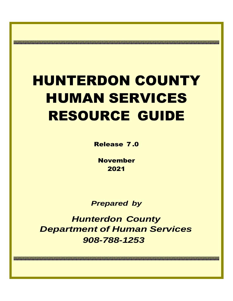## HUNTERDON COUNTY HUMAN SERVICES RESOURCE GUIDE

Release 7 .0

November 2021

*Prepared by*

*Hunterdon County Department of Human Services 908-788-1253*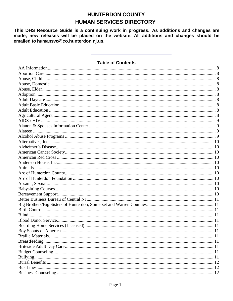## **HUNTERDON COUNTY HUMAN SERVICES DIRECTORY**

This DHS Resource Guide is a continuing work in progress. As additions and changes are made, new releases will be placed on the website. All additions and changes should be emailed to humansvc@co.hunterdon.nj.us.

## **Table of Contents**

| . 11 |
|------|
|      |
|      |
|      |
|      |
|      |
|      |
|      |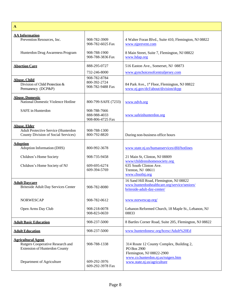<span id="page-9-9"></span><span id="page-9-8"></span><span id="page-9-7"></span><span id="page-9-6"></span><span id="page-9-5"></span><span id="page-9-4"></span><span id="page-9-3"></span><span id="page-9-2"></span><span id="page-9-1"></span><span id="page-9-0"></span>

| $\mathbf{A}$                                                                                                                       |                                                  |                                                                                                                                                           |
|------------------------------------------------------------------------------------------------------------------------------------|--------------------------------------------------|-----------------------------------------------------------------------------------------------------------------------------------------------------------|
| <b>AA Information</b><br>Prevention Resources, Inc.                                                                                | 908-782-3909<br>908-782-6025 Fax                 | 4 Walter Foran Blvd., Suite 410, Flemington, NJ 08822<br>www.njprevent.com                                                                                |
| Hunterdon Drug Awareness Program                                                                                                   | 908-788-1900<br>908-788-3836 Fax                 | 8 Main Street, Suite 7, Flemington, NJ 08822<br>www.hdap.org                                                                                              |
| <b>Abortion Care</b>                                                                                                               | 888-295-0727                                     | 516 Easton Ave., Somerset, NJ 08873                                                                                                                       |
|                                                                                                                                    | 732-246-8000                                     | www.gynchoicesofcentraljersey.com                                                                                                                         |
| <b>Abuse, Child</b><br>Division of Child Protection &<br>Permanency (DCP&P)                                                        | 908-782-8784<br>800-392-2724<br>908-782-9488 Fax | 84 Park Ave., 1st Floor, Flemington, NJ 08822<br>www.nj.gov/dcf/about/division/dcpp                                                                       |
| <b>Abuse, Domestic</b><br>National Domestic Violence Hotline                                                                       | 800-799-SAFE (7233)                              | www.ndvh.org                                                                                                                                              |
| SAFE in Hunterdon                                                                                                                  | 908-788-7666<br>888-988-4033<br>908-806-4725 Fax | www.safeinhunterdon.org                                                                                                                                   |
| <b>Abuse, Elder</b><br>Adult Protective Service (Hunterdon<br>County Division of Social Services)                                  | 908-788-1300<br>800-792-8820                     | During non-business office hours                                                                                                                          |
| <b>Adoption</b><br>Adoption Information (DHS)                                                                                      | 800-992-3678                                     | www.state.nj.us/humanservices/dfd/hotlines                                                                                                                |
| Children's Home Society                                                                                                            | 908-735-9458                                     | 21 Main St, Clinton, NJ 08809                                                                                                                             |
| Children's Home Society of NJ                                                                                                      | 609-695-6274<br>609-394-5769                     | www/childrenshomesociety.org<br>635 South Clinton Ave.<br>Trenton, NJ 08611<br>www.chsofnj.org                                                            |
| <b>Adult Davcare</b><br><b>Briteside Adult Day Services Center</b>                                                                 | 908-782-8080                                     | 16 Sand Hill Road, Flemington, NJ 08822<br>www.hunterdonhealthcare.org/service/seniors/<br>briteside-adult-day-center/                                    |
| <b>NORWESCAP</b>                                                                                                                   | 908-782-0612                                     | www.norwescap.org/                                                                                                                                        |
| Open Arms Day Club                                                                                                                 | 908-218-0078<br>908-823-0659                     | Lebanon Reformed Church, 18 Maple St., Lebanon, NJ<br>08833                                                                                               |
| <b>Adult Basic Education</b>                                                                                                       | 908-237-5000                                     | 8 Bartles Corner Road, Suite 205, Flemington, NJ 08822                                                                                                    |
| <b>Adult Education</b>                                                                                                             | 908-237-5000                                     | www.hunterdonesc.org/hcesc/Adult%20Ed                                                                                                                     |
| <b>Agricultural Agent</b><br>Rutgers Cooperative Research and<br><b>Extension of Hunterdon County</b><br>Department of Agriculture | 908-788-1338<br>609-292-3976                     | 314 Route 12 County Complex, Building 2,<br>PO Box 2900<br>Flemington, NJ 08822-2900<br>www.co.hunterdon.nj.us/rutgers.htm<br>www.state.nj.us/agriculture |
|                                                                                                                                    | 609-292-3978 Fax                                 |                                                                                                                                                           |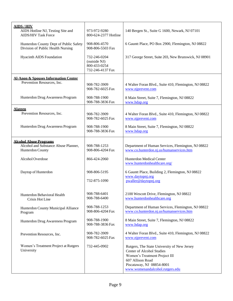<span id="page-10-3"></span><span id="page-10-2"></span><span id="page-10-1"></span><span id="page-10-0"></span>

| <b>AIDS/HIV</b>                                                               |                                                                  |                                                                                                                                                                                                      |
|-------------------------------------------------------------------------------|------------------------------------------------------------------|------------------------------------------------------------------------------------------------------------------------------------------------------------------------------------------------------|
| AIDS Hotline NJ, Testing Site and<br><b>AIDS/HIV Task Force</b>               | 973-972-9280<br>800-624-2377 Hotline                             | 140 Bergen St., Suite G 1600, Newark, NJ 07101                                                                                                                                                       |
| Hunterdon County Dept of Public Safety<br>Division of Public Health Nursing   | 908-806-4570<br>908-806-5503 Fax                                 | 6 Gauntt Place, PO Box 2900, Flemington, NJ 08822                                                                                                                                                    |
| <b>Hyacinth AIDS Foundation</b>                                               | 732-246-0204<br>(outside NJ)<br>800-433-0254<br>732-246-4137 Fax | 317 George Street, Suite 203, New Brunswick, NJ 08901                                                                                                                                                |
| <b>Al-Anon &amp; Spouses Information Center</b><br>Prevention Resources, Inc. | 908-782-3909<br>908-782-6025 Fax                                 | 4 Walter Foran Blvd., Suite 410, Flemington, NJ 08822<br>www.njprevent.com                                                                                                                           |
| Hunterdon Drug Awareness Program                                              | 908-788-1900<br>908-788-3836 Fax                                 | 8 Main Street, Suite 7, Flemington, NJ 08822<br>www.hdap.org                                                                                                                                         |
| <b>Alateen</b>                                                                |                                                                  |                                                                                                                                                                                                      |
| Prevention Resources, Inc.                                                    | 908-782-3909<br>908-782-6025 Fax                                 | 4 Walter Foran Blvd., Suite 410, Flemington, NJ 08822<br>www.njprevent.com                                                                                                                           |
| Hunterdon Drug Awareness Program                                              | 908-788-1900<br>908-788-3836 Fax                                 | 8 Main Street, Suite 7, Flemington, NJ 08822<br>www.hdap.org                                                                                                                                         |
| <b>Alcohol Abuse Programs</b>                                                 |                                                                  |                                                                                                                                                                                                      |
| Alcohol and Substance Abuse Planner,<br>Hunterdon County                      | 908-788-1253<br>908-806-4204 Fax                                 | Department of Human Services, Flemington, NJ 08822<br>www.co.hunterdon.nj.us/humanservices.htm                                                                                                       |
| Alcohol Overdose                                                              | 866-424-2060                                                     | Hunterdon Medical Center<br>www.hunterdonhealthcare.org/                                                                                                                                             |
| Daytop of Hunterdon                                                           | 908-806-5195                                                     | 6 Gauntt Place, Building 2, Flemington, NJ 08822<br>www.daytopnj.org                                                                                                                                 |
|                                                                               | 732-875-1090                                                     | pwaller@daytopnj.org                                                                                                                                                                                 |
| Hunterdon Behavioral Health<br>Crisis Hot Line                                | 908-788-6401<br>908-788-6400                                     | 2100 Wescott Drive, Flemington, NJ 08822<br>www.hunterdonhealthcare.org                                                                                                                              |
| Hunterdon County Municipal Alliance<br>Program                                | 908-788-1253<br>908-806-4204 Fax                                 | Department of Human Services, Flemington, NJ 08822<br>www.co.hunterdon.nj.us/humanservices.htm                                                                                                       |
| Hunterdon Drug Awareness Program                                              | 908-788-1900<br>908-788-3836 Fax                                 | 8 Main Street, Suite 7, Flemington, NJ 08822<br>www.hdap.org                                                                                                                                         |
| Prevention Resources, Inc.                                                    | 908-782-3909<br>908-782-6025 Fax                                 | 4 Walter Foran Blvd., Suite 410, Flemington, NJ 08822<br>www.njprevent.com                                                                                                                           |
| Women's Treatment Project at Rutgers<br>University                            | 732-445-0902                                                     | Rutgers, The State University of New Jersey<br><b>Center of Alcohol Studies</b><br>Women's Treatment Project III<br>607 Allison Road<br>Piscataway, NJ 08854-8001<br>www.womenandalcohol.rutgers.edu |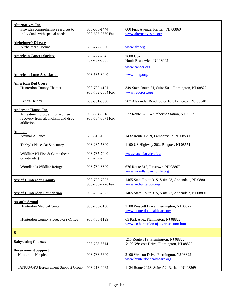<span id="page-11-10"></span><span id="page-11-9"></span><span id="page-11-8"></span><span id="page-11-7"></span><span id="page-11-6"></span><span id="page-11-5"></span><span id="page-11-4"></span><span id="page-11-3"></span><span id="page-11-2"></span><span id="page-11-1"></span><span id="page-11-0"></span>

| <b>Alternatives, Inc.</b><br>Provides comprehensive services to<br>individuals with special needs                  | 908-685-1444<br>908-685-2660 Fax | 600 First Avenue, Raritan, NJ 08869<br>www.alternativesinc.org                  |
|--------------------------------------------------------------------------------------------------------------------|----------------------------------|---------------------------------------------------------------------------------|
| <b>Alzheimer's Disease</b><br>Alzheimer's Hotline                                                                  | 800-272-3900                     | www.alz.org                                                                     |
| <b>American Cancer Society</b>                                                                                     | 800-227-2345<br>732-297-8005     | 2600 US-1<br>North Brunswick, NJ 08902                                          |
|                                                                                                                    |                                  | www.cancer.org                                                                  |
| <b>American Lung Association</b>                                                                                   | 908-685-8040                     | www.lung.org/                                                                   |
| <b>American Red Cross</b><br>Hunterdon County Chapter                                                              | 908-782-4121<br>908-782-2864 Fax | 349 State Route 31, Suite 501, Flemington, NJ 08822<br>www.redcross.org         |
| Central Jersey                                                                                                     | 609-951-8550                     | 707 Alexander Road, Suite 101, Princeton, NJ 08540                              |
| <b>Anderson House, Inc.</b><br>A treatment program for women in<br>recovery from alcoholism and drug<br>addiction. | 908-534-5818<br>908-534-8871 Fax | 532 Route 523, Whitehouse Station, NJ 08889                                     |
| <b>Animals</b><br>Animal Alliance                                                                                  | 609-818-1952                     | 1432 Route 179N, Lambertville, NJ 08530                                         |
| Tabby's Place Cat Sanctuary                                                                                        | 908-237-5300                     | 1100 US Highway 202, Ringoes, NJ 08551                                          |
| Wildlife: NJ Fish & Game (bear,<br>coyote, etc.)                                                                   | 908-735-7040<br>609-292-2965     | www.state.nj.us/dep/fgw                                                         |
| Woodlands Wildlife Refuge                                                                                          | 908-730-8300                     | 676 Route 513, Pittstown, NJ 08867<br>www.woodlandswildlife.org                 |
| <b>Arc of Hunterdon County</b>                                                                                     | 908-730-7827<br>908-730-7726 Fax | 1465 State Route 31S, Suite 23, Annandale, NJ 08801<br>www.archunterdon.org     |
| <b>Arc of Hunterdon Foundation</b>                                                                                 | 908-730-7827                     | 1465 State Route 31S, Suite 23, Annandale, NJ 08801                             |
| <b>Assault, Sexual</b><br>Hunterdon Medical Center                                                                 | 908-788-6100                     | 2100 Wescott Drive, Flemington, NJ 08822<br>www.hunterdonhealthcare.org         |
| Hunterdon County Prosecutor's Office                                                                               | 908-788-1129                     | 65 Park Ave., Flemington, NJ 08822<br>www.co.hunterdon.nj.us/prosecutor.htm     |
| B                                                                                                                  |                                  |                                                                                 |
| <b>Babysitting Courses</b>                                                                                         | 908-788-6614                     | 215 Route 31S, Flemington, NJ 08822<br>2100 Wescott Drive, Flemington, NJ 08822 |
| <b>Bereavement Support</b><br>Hunterdon Hospice                                                                    | 908-788-6600                     | 2100 Wescott Drive, Flemington, NJ 08822<br>www.hunterdonhealthcare.org         |
| <b>JANUS/GPS Bereavement Support Group</b>                                                                         | 908-218-9062                     | 1124 Route 202S, Suite A2, Raritan, NJ 08869                                    |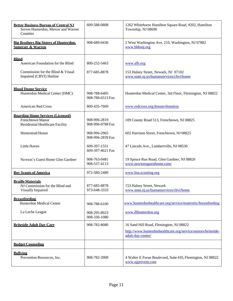<span id="page-12-10"></span><span id="page-12-9"></span><span id="page-12-8"></span><span id="page-12-7"></span><span id="page-12-6"></span><span id="page-12-5"></span><span id="page-12-4"></span><span id="page-12-3"></span><span id="page-12-2"></span><span id="page-12-1"></span><span id="page-12-0"></span>

| <b>Better Business Bureau of Central NJ</b><br>Serves Hunterdon, Mercer and Warren<br>Counties                    | 609-588-0808                     | 1262 Whitehorse Hamilton Square Road, #202, Hamilton<br>Township, NJ 08690                    |
|-------------------------------------------------------------------------------------------------------------------|----------------------------------|-----------------------------------------------------------------------------------------------|
| <b>Big Brothers Big Sisters of Hunterdon.</b><br><b>Somerset &amp; Warren</b>                                     | 908-689-0436                     | 2 West Washington Ave. 210, Washington, NJ 07882<br>www.bbbsnj.org                            |
| <b>Blind</b><br>American Foundation for the Blind<br>Commission for the Blind & Visual<br>Impaired (CBVI) Hotline | 800-232-5463<br>877-685-8878     | www.afb.org<br>153 Halsey Street, Newark, NJ 07102<br>www.state.nj.us/humanservices/cbvi/home |
| <b>Blood Donor Service</b><br>Hunterdon Medical Center (HMC)                                                      | 908-788-6405<br>908-788-6513 Fax | Hunterdon Medical Center, 3rd Floor, Flemington, NJ 08822                                     |
| <b>American Red Cross</b>                                                                                         | 800-435-7669                     | www.redcross.org/donate/donation                                                              |
| <b>Boarding Home Services (Licensed)</b><br>Frenchtown Manor<br>Residential Healthcare Facility                   | 908-996-2819<br>908-996-0788 Fax | 109 County Road 513, Frenchtown, NJ 08825                                                     |
| Homestead House                                                                                                   | 908-996-2965<br>908-996-2839 Fax | 602 Harrison Street, Frenchtown, NJ 08825                                                     |
| Little Haven                                                                                                      | 609-397-1551<br>609-397-4621 Fax | 47 Lincoln Ave., Lambertville, NJ 08530                                                       |
| Newton's Guest Home Glen Gardner                                                                                  | 908-763-0481<br>908-537-4113     | 19 Spruce Run Road, Glen Gardner, NJ 08826<br>www.newtonsguesthome.com/                       |
| <b>Boy Scouts of America</b>                                                                                      | 972-580-2489                     | www.bsa.scouting.org                                                                          |
| <b>Braille Materials</b><br>NJ Commission for the Blind and<br>Visually Impaired                                  | 877-685-8878<br>973-648-3333     | 153 Halsey Street, Newark<br>www.state.nj.us/humanservices/cbvi/home                          |
| <b>Breastfeeding</b><br>Hunterdon Medical Center                                                                  | 908-788-6100                     | www.hunterdonhealthcare.org/service/maternity/breastfeeding                                   |
| La Leche League                                                                                                   | 908-295-8923<br>908-336-1080     | www.lllhunterdon.org                                                                          |
| <b>Briteside Adult Day Care</b>                                                                                   | 908-782-8080                     | 16 Sand Hill Road, Flemington, NJ 08822                                                       |
|                                                                                                                   |                                  | http://www.hunterdonhealthcare.org/service/seniors/briteside-<br>adult-day-center/            |
| <b>Budget Counseling</b>                                                                                          |                                  |                                                                                               |
| <b>Bullving</b><br>Prevention Resources, Inc.                                                                     | 908-782-3909                     | 4 Walter E Foran Boulevard, Suite 410, Flemington, NJ 08822<br>www.njprevent.com              |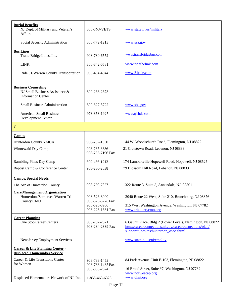<span id="page-13-7"></span><span id="page-13-6"></span><span id="page-13-5"></span><span id="page-13-4"></span><span id="page-13-3"></span><span id="page-13-2"></span><span id="page-13-1"></span><span id="page-13-0"></span>

| <b>Burial Benefits</b><br>NJ Dept. of Military and Veteran's<br><b>Affairs</b>            | 888-8NJ-VETS                                                         | www.state.nj.us/military                                                                                                                                                                     |
|-------------------------------------------------------------------------------------------|----------------------------------------------------------------------|----------------------------------------------------------------------------------------------------------------------------------------------------------------------------------------------|
| Social Security Administration                                                            | 800-772-1213                                                         | www.ssa.gov                                                                                                                                                                                  |
| <b>Bus Lines</b><br>Trans-Bridge Lines, Inc.                                              | 908-730-6552                                                         | www.transbridgebus.com                                                                                                                                                                       |
| <b>LINK</b>                                                                               | 800-842-0531                                                         | www.ridethelink.com                                                                                                                                                                          |
| Ride 31/Warren County Transportation                                                      | 908-454-4044                                                         | www.31ride.com                                                                                                                                                                               |
| <b>Business Counseling</b><br>NJ Small Business Assistance &<br><b>Information Center</b> | 800-268-2678                                                         |                                                                                                                                                                                              |
| <b>Small Business Administration</b>                                                      | 800-827-5722                                                         | www.sba.gov                                                                                                                                                                                  |
| <b>American Small Business</b><br>Development Center                                      | 973-353-1927                                                         | www.njsbdc.com                                                                                                                                                                               |
| $\mathbf C$                                                                               |                                                                      |                                                                                                                                                                                              |
| <b>Camps</b>                                                                              |                                                                      |                                                                                                                                                                                              |
| Hunterdon County YMCA                                                                     | 908-782-1030                                                         | 144 W. Woodschurch Road, Flemington, NJ 08822                                                                                                                                                |
| Winnewald Day Camp                                                                        | 908-735-8336<br>908-735-7196 Fax                                     | 21 Cratetown Road, Lebanon, NJ 08833                                                                                                                                                         |
| Rambling Pines Day Camp                                                                   | 609-466-1212                                                         | 174 Lambertville Hopewell Road, Hopewell, NJ 08525                                                                                                                                           |
| Baptist Camp & Conference Center                                                          | 908-236-2638                                                         | 79 Blossom Hill Road, Lebanon, NJ 08833                                                                                                                                                      |
| <b>Camps, Special Needs</b>                                                               |                                                                      |                                                                                                                                                                                              |
| The Arc of Hunterdon County                                                               | 908-730-7827                                                         | 1322 Route 3, Suite 5, Annandale, NJ 08801                                                                                                                                                   |
| <b>Care Management Organization</b><br>Hunterdon /Somerset /Warren Tri-<br>County CMO     | 908-526-3900<br>908-526-5278 Fax<br>908-526-3900<br>908-223-1631 Fax | 3040 Route 22 West, Suite 210, Branchburg, NJ 08876<br>315 West Washington Avenue, Washington, NJ 07782<br>www.tricountycmo.org                                                              |
| <b>Career Planning</b><br>One Stop Career Centers<br>New Jersey Employment Services       | 908-782-2371<br>908-284-2339 Fax                                     | 6 Gauntt Place, Bldg 2 (Lower Level), Flemington, NJ 08822<br>http://careerconnections.nj.gov/careerconnections/plan/<br>support/njccsites/hunterdon_oscc.shtml<br>www.state.nj.us/nj/employ |
|                                                                                           |                                                                      |                                                                                                                                                                                              |
| <b>Career &amp; Life Planning Center -</b><br><b>Displaced Homemaker Service</b>          |                                                                      |                                                                                                                                                                                              |
| Career & Life Transitions Center<br>for Women                                             | 908-788-1453<br>908-788-1485 Fax<br>908-835-2624                     | 84 Park Avenue, Unit E-103, Flemington, NJ 08822<br>16 Broad Street, Suite #7, Washington, NJ 07782<br>www.norwescap.org                                                                     |
| Displaced Homemakers Network of NJ, Inc.                                                  | 1-855-463-6323                                                       | www.dhnj.org                                                                                                                                                                                 |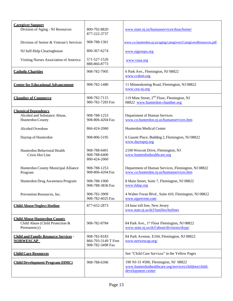<span id="page-14-9"></span><span id="page-14-8"></span><span id="page-14-7"></span><span id="page-14-6"></span><span id="page-14-5"></span><span id="page-14-4"></span><span id="page-14-3"></span><span id="page-14-2"></span><span id="page-14-1"></span><span id="page-14-0"></span>

| <b>Caregiver Support</b><br>Division of Aging - NJ Resources                          | 800-792-8820<br>877-222-3737                            | www.state.nj.us/humanservices/doas/home/                                                                           |
|---------------------------------------------------------------------------------------|---------------------------------------------------------|--------------------------------------------------------------------------------------------------------------------|
| Division of Senior & Veteran's Services                                               | 908-788-1361                                            | www.co.hunterdon.nj.us/aging/caregivers/CaregiversResources.pdf                                                    |
| NJ Self-Help Clearinghouse                                                            | 800-367-6274                                            | www.njgroups.org                                                                                                   |
| Visiting Nurses Association of America                                                | 571-527-1520<br>888-866-8773                            | www.vnaa.org                                                                                                       |
| <b>Catholic Charities</b>                                                             | 908-782-7905                                            | 6 Park Ave., Flemington, NJ 08822<br>www.ccdom.org                                                                 |
| <b>Center for Educational Advancement</b>                                             | 908-782-1480                                            | 11 Minneakoning Road, Flemington, NJ 08822<br>www.cea-nj.org                                                       |
| <b>Chamber of Commerce</b>                                                            | 908-782-7115<br>980-782-7283 Fax                        | 119 Mine Street, $2nd$ Floor, Flemington, NJ<br>08822 www.hunterdon-chamber.org                                    |
| <b>Chemical Dependency</b><br>Alcohol and Substance Abuse,<br>Hunterdon County        | 908-788-1253<br>908-806-4204 Fax                        | Department of Human Services<br>www.co.hunterdon.nj.us/humanservices.htm                                           |
| Alcohol Overdose                                                                      | 866-424-2060                                            | Hunterdon Medical Center                                                                                           |
| Daytop of Hunterdon                                                                   | 908-806-5195                                            | 6 Gauntt Place, Building 2, Flemington, NJ 08822<br>www.daytopnj.org                                               |
| Hunterdon Behavioral Health<br>Crisis Hot Line                                        | 908-788-6401<br>908-788-6400<br>800-424-2060            | 2100 Wescott Drive, Flemington, NJ<br>www.hunterdonhealthcare.org                                                  |
| Hunterdon County Municipal Alliance<br>Program                                        | 908-788-1253<br>908-806-4204 Fax                        | Department of Human Services, Flemington, NJ 08822<br>www.co.hunterdon.nj.us/humanservices.htm                     |
| Hunterdon Drug Awareness Program                                                      | 908-788-1900<br>908-788-3836 Fax                        | 8 Main Street, Suite 7, Flemington, NJ 08822<br>www.hdap.org                                                       |
| Prevention Resources, Inc.                                                            | 908-782-3909<br>908-782-6025 Fax                        | 4 Walter Foran Blvd., Suite 410, Flemington, NJ 08822<br>www.njprevent.com                                         |
| <b>Child Abuse/Neglect Hotline</b>                                                    | 877-652-2873                                            | 24 hour toll free, New Jersey<br>www.state.nj.us/dcf/families/hotlines                                             |
| <b>Child Abuse Hunterdon County</b><br>Child Abuse (Child Protection &<br>Permanency) | 908-782-8784                                            | 84 Park Ave., 1st Floor Flemington, NJ 08822<br>www.state.nj.us/dcf/about/divisions/dcpp/                          |
| <b>Child and Family Resource Services -</b><br><b>NORWESCAP</b>                       | 908-782-8183<br>866-793-3149 T Free<br>908-782-3498 Fax | 84 Park Avenue, E104, Flemington, NJ 08822<br>www.norwescap.org/                                                   |
| <b>Child Care Resources</b>                                                           |                                                         | See "Child Care Services" in the Yellow Pages                                                                      |
| <b>Child Development Program (HMC)</b>                                                | 908-788-6396                                            | 190 NJ-31 #500, Flemington, NJ 08822<br>www.hunterdonhealthcare.org/services/children/child-<br>development-center |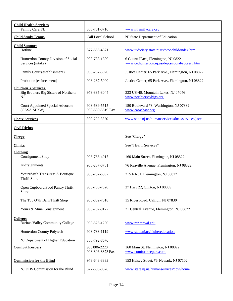<span id="page-15-11"></span><span id="page-15-10"></span><span id="page-15-9"></span><span id="page-15-8"></span><span id="page-15-7"></span><span id="page-15-6"></span><span id="page-15-5"></span><span id="page-15-4"></span><span id="page-15-3"></span><span id="page-15-2"></span><span id="page-15-1"></span><span id="page-15-0"></span>

| <b>Child Health Services</b><br>Family Care, NJ                          | 800-701-0710                     | www.njfamilycare.org                                                                   |
|--------------------------------------------------------------------------|----------------------------------|----------------------------------------------------------------------------------------|
| <b>Child Study Teams</b>                                                 | Call Local School                | NJ State Department of Education                                                       |
| <b>Child Support</b><br>Hotline                                          | 877-655-4371                     | www.judiciary.state.nj.us/probchild/index.htm                                          |
| Hunterdon County Division of Social<br>Services (intake)                 | 908-788-1300                     | 6 Gauntt Place, Flemington, NJ 0822<br>www.co.hunterdon.nj.us/depts/social/socserv.htm |
| Family Court (establishment)                                             | 908-237-5920                     | Justice Center, 65 Park Ave., Flemington, NJ 08822                                     |
| Probation (enforcement)                                                  | 908-237-5900                     | Justice Center, 65 Park Ave., Flemington, NJ 08822                                     |
| <b>Children's Services</b><br>Big Brothers Big Sisters of Northern<br>NJ | 973-335-3044                     | 333 US-46, Mountain Lakes, NJ 07046<br>www.northjerseybigs.org                         |
| <b>Court Appointed Special Advocate</b><br>(CASA SHaW)                   | 908-689-5515<br>908-689-5519 Fax | 150 Boulevard #3, Washington, NJ 07882<br>www.casashaw.org                             |
| <b>Chore Services</b>                                                    | 800-792-8820                     | www.state.nj.us/humanservices/doas/services/jacc                                       |
| <b>Civil Rights</b>                                                      |                                  |                                                                                        |
| <b>Clergy</b>                                                            |                                  | See "Clergy"                                                                           |
| <b>Clinics</b>                                                           |                                  | See "Health Services"                                                                  |
| <b>Clothing</b><br><b>Consignment Shop</b>                               | 908-788-4017                     | 160 Main Street, Flemington, NJ 08822                                                  |
| Kidzsignments                                                            | 908-237-0781                     | 76 Reaville Avenue, Flemington, NJ 08822                                               |
| Yesterday's Treasures: A Boutique<br><b>Thrift Store</b>                 | 908-237-6097                     | 215 NJ-31, Flemington, NJ 08822                                                        |
| Open Cupboard Food Pantry Thrift<br>Store                                | 908-730-7320                     | 37 Hwy 22, Clinton, NJ 08809                                                           |
| The Top O'th'Barn Thrift Shop                                            | 908-832-7018                     | 15 River Road, Califon, NJ 07830                                                       |
| Yours & Mine Consignment                                                 | 908-782-9177                     | 21 Central Avenue, Flemington, NJ 08822                                                |
| <b>Colleges</b><br><b>Raritan Valley Community College</b>               | 908-526-1200                     | www.raritanval.edu                                                                     |
| Hunterdon County Polytech                                                | 908-788-1119                     | www.state.nj.us/highereducation                                                        |
| NJ Department of Higher Education                                        | 800-792-8670                     |                                                                                        |
| <b>Comfort Keepers</b>                                                   | 908 806-2220<br>908-806-8373 Fax | 160 Main St. Flemington, NJ 08822<br>www.comfortkeepers.com                            |
| <b>Commission for the Blind</b>                                          | 973-648-3333                     | 153 Halsey Street, #6, Newark, NJ 07102                                                |
| NJ DHS Commission for the Blind                                          | 877-685-8878                     | www.state.nj.us/humanservices/cbvi/home                                                |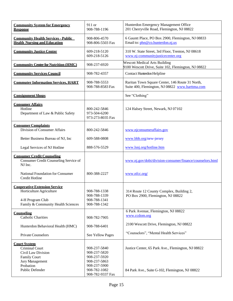<span id="page-16-12"></span><span id="page-16-11"></span><span id="page-16-10"></span><span id="page-16-9"></span><span id="page-16-8"></span><span id="page-16-7"></span><span id="page-16-6"></span><span id="page-16-5"></span><span id="page-16-4"></span><span id="page-16-3"></span><span id="page-16-2"></span><span id="page-16-1"></span><span id="page-16-0"></span>

| <b>Community System for Emergency</b><br><b>Response</b>                                                                   | 911 or<br>908-788-1196                                                       | Hunterdon Emergency Management Office<br>201 Cherryville Road, Flemington, NJ 08822                |
|----------------------------------------------------------------------------------------------------------------------------|------------------------------------------------------------------------------|----------------------------------------------------------------------------------------------------|
| <b>Community Health Services - Public</b><br><b>Health Nursing and Education</b>                                           | 908-806-4570<br>908-806-5503 Fax                                             | 6 Gauntt Place, PO Box 2900, Flemington, NJ 08833<br>Email to: phn@co.hunterdon.nj.us              |
| <b>Community Justice Center</b>                                                                                            | 609-218-5120<br>609-218-5126                                                 | 310 W. State Street, 3rd Floor, Trenton, NJ 08618<br>www.nj-communityjusticecenter.org             |
| <b>Community Center for Nutrition (HMC)</b>                                                                                | 908-237-6920                                                                 | <b>Wescott Medical Arts Building</b><br>9100 Wescott Drive, Suite 102, Flemington, NJ 08822        |
| <b>Community Services Council</b>                                                                                          | 908-782-4357                                                                 | Contact Hunterdon Helpline                                                                         |
| <b>Commuter Information Services, HART</b>                                                                                 | 908-788-5553<br>908-788-8583 Fax                                             | Raritan Town Square Center, 146 Route 31 North,<br>Suite 400, Flemington, NJ 08822 www.harttma.com |
| <b>Consignment Shops</b>                                                                                                   |                                                                              | See "Clothing"                                                                                     |
| <b>Consumer Affairs</b><br>Hotline<br>Department of Law & Public Safety                                                    | 800-242-5846<br>973-504-6200<br>973-273-8035 Fax                             | 124 Halsey Street, Newark, NJ 07102                                                                |
| <b>Consumer Complaints</b><br>Division of Consumer Affairs                                                                 | 800-242-5846                                                                 | www.njconsumeraffairs.gov                                                                          |
| Better Business Bureau of NJ, Inc                                                                                          | 609-588-0808                                                                 | www.bbb.org/new-jersey                                                                             |
| Legal Services of NJ Hotline                                                                                               | 888-576-5529                                                                 | www.lsnj.org/hotline.htm                                                                           |
| <b>Consumer Credit Counseling</b><br>Consumer Credit Counseling Service of<br>NJ Inc.                                      |                                                                              | www.nj.gov/dobi/division-consumer/finance/counselors.html                                          |
| National Foundation for Consumer<br>Credit Hotline                                                                         | 800-388-2227                                                                 | www.nfcc.org/                                                                                      |
| <b>Cooperative Extension Service</b><br>Horticulture Agriculture<br>4-H Program Club<br>Family & Community Health Sciences | 908-788-1338<br>908-788-1339<br>908-788-1341<br>908-788-1342                 | 314 Route 12 County Complex, Building 2,<br>PO Box 2900, Flemington, NJ 08822                      |
| Counseling<br><b>Catholic Charities</b>                                                                                    | 908-782-7905                                                                 | 6 Park Avenue, Flemington, NJ 08822<br>www.ccdom.org                                               |
| Hunterdon Behavioral Health (HMC)                                                                                          | 908-788-6401                                                                 | 2100 Wescott Drive, Flemington, NJ 08822                                                           |
| <b>Private Counselors</b>                                                                                                  | See Yellow Pages                                                             | "Counselors", "Mental Health Services"                                                             |
| <b>Court System</b><br>Criminal Court<br>Civil Law Division<br><b>Family Court</b><br>Jury Management<br>Probation         | 908-237-5840<br>908-237-5820<br>908-237-5920<br>908-237-5863<br>908-237-5900 | Justice Center, 65 Park Ave., Flemington, NJ 08822                                                 |
| Public Defender                                                                                                            | 908-782-1082<br>908-782-9337 Fax                                             | 84 Park Ave., Suite G-102, Flemington, NJ 08822                                                    |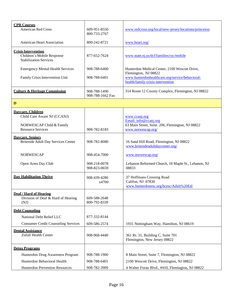<span id="page-17-8"></span><span id="page-17-7"></span><span id="page-17-6"></span><span id="page-17-5"></span><span id="page-17-4"></span><span id="page-17-3"></span><span id="page-17-2"></span><span id="page-17-1"></span><span id="page-17-0"></span>

| <b>CPR Courses</b><br><b>American Red Cross</b>                                                          | 609-951-8550<br>800-733-2767     | www.redcross.org/local/new-jersey/locations/princeton                                                            |
|----------------------------------------------------------------------------------------------------------|----------------------------------|------------------------------------------------------------------------------------------------------------------|
| <b>American Heart Association</b>                                                                        | 800-242-8721                     | www.heart.org/                                                                                                   |
| <b>Crisis Intervention</b><br>Children's Mobile Response<br><b>Stabilization Services</b>                | 877-652-7624                     | www.state.nj.us/dcf/families/csc/mobile                                                                          |
| <b>Emergency Mental Health Services</b>                                                                  | 908-788-6400                     | Hunterdon Medical Center, 2100 Wescott Drive,                                                                    |
| Family Crisis Intervention Unit                                                                          | 908-788-6401                     | Flemington, NJ 08822<br>www.hunterdonhealthcare.org/service/behavioral-<br>health/family-crisis-intervention     |
| <b>Culture &amp; Heritage Commission</b>                                                                 | 908-788-1490<br>908-788-1662 Fax | 314 Route 12 County Complex, Flemington, NJ 08822                                                                |
| D                                                                                                        |                                  |                                                                                                                  |
| Davcare, Children<br>Child Care Aware NJ (CCANJ)<br>NORWESCAP Child & Family<br><b>Resource Services</b> | 908-782-8183                     | www.ccanj.org<br>Email: info@ccanj.org<br>63 Main Street, Suite. 206, Flemington, NJ 08822<br>www.norwescap.org/ |
| <b>Davcare, Seniors</b><br><b>Briteside Adult Day Services Center</b>                                    | 908-782-8080                     | 16 Sand Hill Road, Flemington, NJ 08822<br>www.britesideadultdaycenter.org/                                      |
| <b>NORWESCAP</b>                                                                                         | 908-454-7000                     | www.norwescap.org/                                                                                               |
| Open Arms Day Club                                                                                       | 908-218-0078<br>908-823-0659     | Lebanon Reformed Church, 18 Maple St., Lebanon, NJ<br>08833                                                      |
| <b>Day Habilitation Thrive</b>                                                                           | 908-439-4280<br>x4700            | 37 Hoffmans Crossing Road<br>Califon, NJ 07830<br>www.hunterdonesc.org/hcesc/Adult%20Ed/                         |
| Deaf / Hard of Hearing<br>Division of Deaf & Hard of Hearing<br>(NJ)                                     | 609-588-2648<br>800-792-8339     |                                                                                                                  |
| <b>Debt Counseling</b>                                                                                   |                                  |                                                                                                                  |
| National Debt Relief LLC                                                                                 | 877-332-8144                     |                                                                                                                  |
| <b>Consumer Credit Counseling Services</b>                                                               | 609-586-2574                     | 1931 Nottingham Way, Hamilton, NJ 08619                                                                          |
| <b>Dental Assistance</b><br>Zufall Health Center                                                         | 908-968-4440                     | 361 Rt. 31, Building C, Suite 701<br>Flemington, New Jersey 08822                                                |
| <b>Detox Programs</b>                                                                                    |                                  |                                                                                                                  |
| Hunterdon Drug Awareness Program                                                                         | 908-788-1900                     | 8 Main Street, Suite 7, Flemington, NJ 08822                                                                     |
| Hunterdon Behavioral Health                                                                              | 908-788-6401                     | 2100 Wescott Drive, Flemington, NJ 08822                                                                         |
| Hunterdon Prevention Resources                                                                           | 908-782-3909                     | 4 Walter Foran Blvd., #410, Flemington, NJ 08822                                                                 |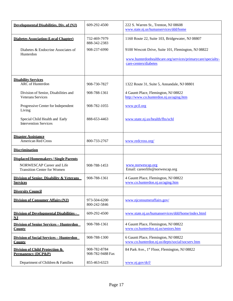<span id="page-18-12"></span><span id="page-18-11"></span><span id="page-18-10"></span><span id="page-18-9"></span><span id="page-18-8"></span><span id="page-18-7"></span><span id="page-18-6"></span><span id="page-18-5"></span><span id="page-18-4"></span><span id="page-18-3"></span><span id="page-18-2"></span><span id="page-18-1"></span><span id="page-18-0"></span>

| Developmental Disabilities, Div. of (NJ)                         | 609-292-4500                     | 222 S. Warren St., Trenton, NJ 08608<br>www.state.nj.us/humanservices/ddd/home                                     |
|------------------------------------------------------------------|----------------------------------|--------------------------------------------------------------------------------------------------------------------|
| <b>Diabetes Association (Local Chapter)</b>                      | 732-469-7979<br>888-342-2383     | 1160 Route 22, Suite 103, Bridgewater, NJ 08807                                                                    |
| Diabetes & Endocrine Associates of<br>Hunterdon                  | 908-237-6990                     | 9100 Wescott Drive, Suite 101, Flemington, NJ 08822<br>www.hunterdonhealthcare.org/services/primarycare/specialty- |
|                                                                  |                                  | care-centers/diabetes                                                                                              |
| <b>Disability Services</b><br><b>ARC</b> of Hunterdon            | 908-730-7827                     | 1322 Route 31, Suite 5, Annandale, NJ 08801                                                                        |
| Division of Senior, Disabilities and<br><b>Veterans Services</b> | 908-788-1361                     | 4 Gauntt Place, Flemington, NJ 08822<br>http://www.co.hunterdon.nj.us/aging.htm                                    |
| Progressive Center for Independent<br>Living                     | 908-782-1055                     | www.pcil.org                                                                                                       |
| Special Child Health and Early<br><b>Intervention Services</b>   | 888-653-4463                     | www.state.nj.us/health/fhs/schl                                                                                    |
| <b>Disaster Assistance</b><br><b>American Red Cross</b>          | 800-733-2767                     | www.redcross.org/                                                                                                  |
| <b>Discrimination</b>                                            |                                  |                                                                                                                    |
| <b>Displaced Homemakers / Single Parents</b>                     |                                  |                                                                                                                    |
| NORWESCAP Career and Life<br><b>Transition Center for Women</b>  | 908-788-1453                     | www.norwescap.org<br>Email: careerlife@norwescap.org                                                               |
| Division of Senior. Disability & Veterans<br><b>Services</b>     | 908-788-1361                     | 4 Gauntt Place, Flemington, NJ 08822<br>www.co.hunterdon.nj.us/aging.htm                                           |
| <b>Diversity Council</b>                                         |                                  |                                                                                                                    |
| <b>Division of Consumer Affairs (NJ)</b>                         | 973-504-6200<br>800-242-5846     | www.njconsumeraffairs.gov/                                                                                         |
| <b>Division of Developmental Disabilities -</b><br>NJ            | 609-292-4500                     | www.state.nj.us/humanservices/ddd/home/index.html                                                                  |
| <b>Division of Senior Services - Hunterdon</b><br><b>County</b>  | 908-788-1361                     | 4 Gauntt Place, Flemington, NJ 08822<br>www.co.hunterdon.nj.us/seniors.htm                                         |
| <b>Division of Social Services - Hunterdon</b><br><b>County</b>  | 908-788-1300                     | 6 Gauntt Place, Flemington, NJ 08822<br>www.co.hunterdon.nj.us/depts/social/socserv.htm                            |
| Division of Child Protection &<br><b>Permanency (DCP&amp;P)</b>  | 908-782-8784<br>908-782-9488 Fax | 84 Park Ave., 1 <sup>st</sup> Floor, Flemington, NJ 08822                                                          |
| Department of Children & Families                                | 855-463-6323                     | www.nj.gov/dcf/                                                                                                    |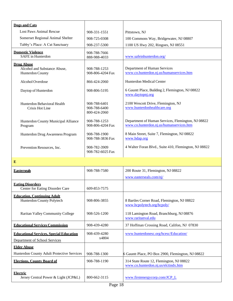<span id="page-19-2"></span><span id="page-19-1"></span><span id="page-19-0"></span>

| <b>Dogs and Cats</b>                                                  |                                              |                                                                                                |
|-----------------------------------------------------------------------|----------------------------------------------|------------------------------------------------------------------------------------------------|
| <b>Lost Paws Animal Rescue</b>                                        | 908-331-1551                                 | Pittstown, NJ                                                                                  |
| Somerset Regional Animal Shelter                                      | 908-725-0308                                 | 100 Commons Way, Bridgewater, NJ 08807                                                         |
| Tabby's Place: A Cat Sanctuary                                        | 908-237-5300                                 | 1100 US Hwy 202, Ringoes, NJ 08551                                                             |
| <b>Domestic Violence</b><br><b>SAFE</b> in Hunterdon                  | 908-788-7666<br>888-988-4033                 | www.safeinhunterdon.org/                                                                       |
| <b>Drug Abuse</b><br>Alcohol and Substance Abuse,<br>Hunterdon County | 908-788-1253<br>908-806-4204 Fax             | Department of Human Services<br>www.co.hunterdon.nj.us/humanservices.htm                       |
| Alcohol Overdose                                                      | 866-424-2060                                 | Hunterdon Medical Center                                                                       |
| Daytop of Hunterdon                                                   | 908-806-5195                                 | 6 Gauntt Place, Building 2, Flemington, NJ 08822<br>www.daytopnj.org                           |
| Hunterdon Behavioral Health<br>Crisis Hot Line                        | 908-788-6401<br>908-788-6400<br>800-424-2060 | 2100 Wescott Drive, Flemington, NJ<br>www.hunterdonhealthcare.org                              |
| Hunterdon County Municipal Alliance<br>Program                        | 908-788-1253<br>908-806-4204 Fax             | Department of Human Services, Flemington, NJ 08822<br>www.co.hunterdon.nj.us/humanservices.htm |
| Hunterdon Drug Awareness Program                                      | 908-788-1900<br>908-788-3836 Fax             | 8 Main Street, Suite 7, Flemington, NJ 08822<br>www.hdap.org                                   |
| Prevention Resources, Inc.                                            | 908-782-3909<br>908-782-6025 Fax             | 4 Walter Foran Blvd., Suite 410, Flemington, NJ 08822                                          |

**E**

<span id="page-19-10"></span><span id="page-19-9"></span><span id="page-19-8"></span><span id="page-19-7"></span><span id="page-19-6"></span><span id="page-19-5"></span><span id="page-19-4"></span><span id="page-19-3"></span>

| <b>Easterseals</b>                                                              | 908-788-7580          | 200 Route 31, Flemington, NJ 08822                                              |
|---------------------------------------------------------------------------------|-----------------------|---------------------------------------------------------------------------------|
|                                                                                 |                       | www.easterseals.com/nj/                                                         |
| <b>Eating Disorders</b><br>Center for Eating Disorder Care                      | 609-853-7575          |                                                                                 |
| <b>Education, Continuing Adult</b><br>Hunterdon County Polytech                 | 908-806-3855          | 8 Bartles Corner Road, Flemington, NJ 08822<br>www.hcpolytech.org/hcpoly/       |
| Raritan Valley Community College                                                | 908-526-1200          | 118 Lamington Road, Branchburg, NJ 08876<br>www.raritanval.edu                  |
| <b>Educational Services Commission</b>                                          | 908-439-4280          | 37 Hoffman Crossing Road, Califon, NJ 07830                                     |
| <b>Educational Services, Special Education</b><br>Department of School Services | 908-439-4280<br>x4804 | www.hunterdonesc.org/hcesc/Education/                                           |
| <b>Elder Abuse</b>                                                              |                       |                                                                                 |
| Hunterdon County Adult Protective Services                                      | 908-788-1300          | 6 Gauntt Place, PO Box 2900, Flemington, NJ 08822                               |
| <b>Elections. County Board of</b>                                               | 908-788-1190          | 314 State Route 12, Flemington, NJ 08822<br>www.co.hunterdon.nj.us/elctindx.htm |
| <b>Electric</b><br>Jersey Central Power & Light (JCP&L)                         | 800-662-3115          | www.firstenergycorp.com/JCP L                                                   |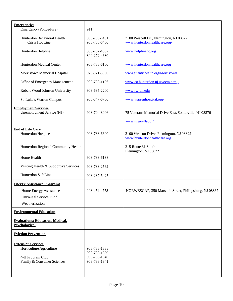<span id="page-20-6"></span><span id="page-20-5"></span><span id="page-20-4"></span><span id="page-20-3"></span><span id="page-20-2"></span><span id="page-20-1"></span><span id="page-20-0"></span>

| <b>Emergencies</b>                                                                                      |                                                              |                                                                         |
|---------------------------------------------------------------------------------------------------------|--------------------------------------------------------------|-------------------------------------------------------------------------|
| Emergency (Police/Fire)                                                                                 | 911                                                          |                                                                         |
| Hunterdon Behavioral Health<br>Crisis Hot Line                                                          | 908-788-6401<br>908-788-6400                                 | 2100 Wescott Dr., Flemington, NJ 08822<br>www.hunterdonhealthcare.org/  |
| Hunterdon Helpline                                                                                      | 908-782-4357<br>800-272-4630                                 | www.helplinehc.org                                                      |
| Hunterdon Medical Center                                                                                | 908-788-6100                                                 | www.hunterdonhealthcare.org                                             |
| Morristown Memorial Hospital                                                                            | 973-971-5000                                                 | www.atlantichealth.org/Morristown                                       |
| Office of Emergency Management                                                                          | 908-788-1196                                                 | www.co.hunterdon.nj.us/oem.htm                                          |
| Robert Wood Johnson University                                                                          | 908-685-2200                                                 | www.rwjuh.edu                                                           |
| St. Luke's Warren Campus                                                                                | 908-847-6700                                                 | www.warrenhospital.org/                                                 |
| <b>Employment Services</b><br>Unemployment Service (NJ)                                                 | 908-704-3006                                                 | 75 Veterans Memorial Drive East, Somerville, NJ 08876                   |
|                                                                                                         |                                                              | www.nj.gov/labor/                                                       |
| <b>End of Life Care</b><br>Hunterdon Hospice                                                            | 908-788-6600                                                 | 2100 Wescott Drive, Flemington, NJ 08822<br>www.hunterdonhealthcare.org |
| Hunterdon Regional Community Health                                                                     |                                                              | 215 Route 31 South<br>Flemington, NJ 08822                              |
| Home Health                                                                                             | 908-788-6138                                                 |                                                                         |
| Visiting Health & Supportive Services                                                                   | 908-788-2562                                                 |                                                                         |
| Hunterdon SafeLine                                                                                      | 908-237-5425                                                 |                                                                         |
| <b>Energy Assistance Programs</b>                                                                       |                                                              |                                                                         |
| Home Energy Assistance                                                                                  | 908-454-4778                                                 | NORWESCAP, 350 Marshall Street, Phillipsburg, NJ 08867                  |
| Universal Service Fund                                                                                  |                                                              |                                                                         |
| Weatherization                                                                                          |                                                              |                                                                         |
| <b>Environmental Education</b>                                                                          |                                                              |                                                                         |
| <b>Evaluations: Education. Medical.</b><br><b>Psychological</b>                                         |                                                              |                                                                         |
| <b>Eviction Prevention</b>                                                                              |                                                              |                                                                         |
| <b>Extension Services</b><br>Horticulture Agriculture<br>4-H Program Club<br>Family & Consumer Sciences | 908-788-1338<br>908-788-1339<br>908-788-1340<br>908-788-1341 |                                                                         |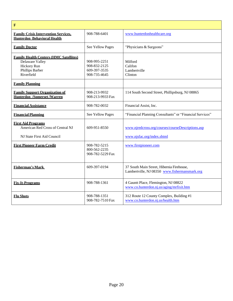<span id="page-21-11"></span><span id="page-21-10"></span><span id="page-21-9"></span><span id="page-21-8"></span><span id="page-21-7"></span><span id="page-21-6"></span><span id="page-21-5"></span><span id="page-21-4"></span><span id="page-21-3"></span><span id="page-21-2"></span><span id="page-21-1"></span><span id="page-21-0"></span>

| $\mathbf F$                                                                                                      |                                                              |                                                                                            |
|------------------------------------------------------------------------------------------------------------------|--------------------------------------------------------------|--------------------------------------------------------------------------------------------|
| <b>Family Crisis Intervention Services.</b><br><b>Hunterdon Behavioral Health</b>                                | 908-788-6401                                                 | www.hunterdonhealthcare.org                                                                |
| <b>Family Doctor</b>                                                                                             | See Yellow Pages                                             | "Physicians & Surgeons"                                                                    |
| <b>Family Health Centers (HMC Satellites)</b><br>Delaware Valley<br>Hickory Run<br>Phillips Barber<br>Riverfield | 908-995-2251<br>908-832-2125<br>609-397-3535<br>908-735-4645 | Milford<br>Califon<br>Lambertville<br>Clinton                                              |
| <b>Family Planning</b>                                                                                           |                                                              |                                                                                            |
| <b>Family Support Organization of</b><br><b>Hunterdon /Somerset/Warren</b>                                       | 908-213-9932<br>908-213-9933 Fax                             | 114 South Second Street, Phillipsburg, NJ 08865                                            |
| <b>Financial Assistance</b>                                                                                      | 908-782-0032                                                 | Financial Assist, Inc.                                                                     |
| <b>Financial Planning</b>                                                                                        | See Yellow Pages                                             | "Financial Planning Consultants" or "Financial Services"                                   |
| <b>First Aid Programs</b><br>American Red Cross of Central NJ<br>NJ State First Aid Council                      | 609-951-8550                                                 | www.njredcross.org/courses/courseDescriptions.asp<br>www.njsfac.org/index.shtml            |
| <b>First Pioneer Farm Credit</b>                                                                                 | 908-782-5215<br>800-562-2235<br>908-782-5229 Fax             | www.firstpioneer.com                                                                       |
| <b>Fisherman's Mark</b>                                                                                          | 609-397-0194                                                 | 37 South Main Street, Hibernia Firehouse,<br>Lambertville, NJ 08350 www.fishermansmark.org |
| <b>Fix-It-Programs</b>                                                                                           | 908-788-1361                                                 | 4 Gauntt Place, Flemington, NJ 08822<br>www.co.hunterdon.nj.us/aging/mrfixit.htm           |
| <b>Flu Shots</b>                                                                                                 | 908-788-1351<br>908-782-7510 Fax                             | 312 Route 12 County Complex, Building #1<br>www.co.hunterdon.nj.us/health.htm              |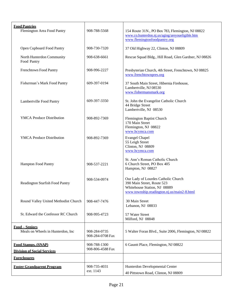<span id="page-22-4"></span><span id="page-22-3"></span><span id="page-22-2"></span><span id="page-22-1"></span><span id="page-22-0"></span>

| <b>Food Pantries</b>                                             |                                  |                                                                                                                                                 |
|------------------------------------------------------------------|----------------------------------|-------------------------------------------------------------------------------------------------------------------------------------------------|
| Flemington Area Food Pantry                                      | 908-788-5568                     | 154 Route 31N., PO Box 783, Flemington, NJ 08822                                                                                                |
|                                                                  |                                  | www.co.hunterdon.nj.us/aging/areyoueligible.htm                                                                                                 |
|                                                                  |                                  | www.flemingtonfoodpantry.org                                                                                                                    |
| Open Cupboard Food Pantry                                        | 908-730-7320                     | 37 Old Highway 22, Clinton, NJ 08809                                                                                                            |
| North Hunterdon Community<br>Food Pantry                         | 908-638-6661                     | Rescue Squad Bldg., Hill Road, Glen Gardner, NJ 08826                                                                                           |
| Frenchtown Food Pantry                                           | 908-996-2227                     | Presbyterian Church, 4th Street, Frenchtown, NJ 08825<br>www.frenchtownpres.org                                                                 |
| Fisherman's Mark Food Pantry                                     | 609-397-0194                     | 37 South Main Street, Hibernia Firehouse,<br>Lambertville, NJ 08530<br>www.fishermansmark.org                                                   |
| Lambertville Food Pantry                                         | 609-397-3350                     | St. John the Evangelist Catholic Church<br>44 Bridge Street<br>Lambertville, NJ 08530                                                           |
| <b>YMCA Produce Distribution</b>                                 | 908-892-7369                     | <b>Flemington Baptist Church</b><br>170 Main Street<br>Flemington, NJ 08822<br>www.hcymca.com                                                   |
| <b>YMCA</b> Produce Distribution                                 | 908-892-7369                     | <b>Evangel Chapel</b><br>55 Leigh Street<br>Clinton, NJ 08809<br>www.hcymca.com                                                                 |
| Hampton Food Pantry                                              | 908-537-2221                     | St. Ann's Roman Catholic Church<br>6 Church Street, PO Box 405<br>Hampton, NJ 08827                                                             |
| <b>Readington Starfish Food Pantry</b>                           | 908-534-0974                     | Our Lady of Lourdes Catholic Church<br>390 Main Street, Route 523<br>Whitehouse Station, NJ 08889<br>www.township.readington.nj.us/main2-8.html |
| Round Valley United Methodist Church                             | 908-447-7476                     | 30 Main Street<br>Lebanon, NJ 08833                                                                                                             |
| St. Edward the Confessor RC Church                               | 908-995-4723                     | 57 Water Street<br>Milford, NJ 08848                                                                                                            |
| <b>Food - Seniors</b><br>Meals on Wheels in Hunterdon, Inc.      | 908-284-0735<br>908-284-0708 Fax | 5 Walter Foran Blvd., Suite 2006, Flemington, NJ 08822                                                                                          |
| <b>Food Stamps. (SNAP)</b><br><b>Division of Social Services</b> | 908-788-1300<br>908-806-4588 Fax | 6 Gauntt Place, Flemington, NJ 08822                                                                                                            |
|                                                                  |                                  |                                                                                                                                                 |
| <b>Foreclosures</b>                                              |                                  |                                                                                                                                                 |
| <b>Foster Grandparent Program</b>                                | 908-735-4031                     | Hunterdon Developmental Center                                                                                                                  |
|                                                                  | ext. 1143                        | 40 Pittstown Road, Clinton, NJ 08809                                                                                                            |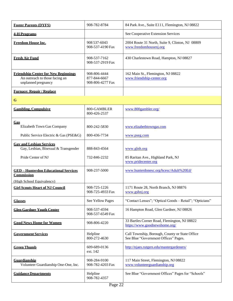<span id="page-23-16"></span><span id="page-23-15"></span><span id="page-23-14"></span><span id="page-23-13"></span><span id="page-23-12"></span><span id="page-23-11"></span><span id="page-23-10"></span><span id="page-23-9"></span><span id="page-23-8"></span><span id="page-23-7"></span><span id="page-23-6"></span><span id="page-23-5"></span><span id="page-23-4"></span><span id="page-23-3"></span><span id="page-23-2"></span><span id="page-23-1"></span><span id="page-23-0"></span>

| <b>Foster Parents (DYFS)</b>                                                                         | 908-782-8784                                     | 84 Park Ave., Suite E111, Flemington, NJ 08822                                         |
|------------------------------------------------------------------------------------------------------|--------------------------------------------------|----------------------------------------------------------------------------------------|
| <b>4-H Programs</b>                                                                                  |                                                  | See Cooperative Extension Services                                                     |
| <b>Freedom House Inc.</b>                                                                            | 908 537-6043<br>908-537-4190 Fax                 | 2004 Route 31 North, Suite 9, Clinton, NJ 08809<br>www.freedomhousenj.org              |
| <b>Fresh Air Fund</b>                                                                                | 908-537-7162<br>908-537-2919 Fax                 | 430 Charlestown Road, Hampton, NJ 08827                                                |
| <b>Friendship Center for New Beginnings</b><br>An outreach to those facing an<br>unplanned pregnancy | 908-806-4444<br>877-844-6667<br>908-806-4277 Fax | 162 Main St., Flemington, NJ 08822<br>www.friendship-center.org                        |
| <b>Furnace: Repair / Replace</b>                                                                     |                                                  |                                                                                        |
| G                                                                                                    |                                                  |                                                                                        |
| <b>Gambling, Compulsive</b>                                                                          | 800-GAMBLER<br>800-426-2537                      | www.800gambler.org/                                                                    |
| Gas<br>Elizabeth Town Gas Company                                                                    | 800-242-5830                                     | www.elizabethtowngas.com                                                               |
| Public Service Electric & Gas (PSE&G)                                                                | 800-436-7734                                     | www.pseg.com                                                                           |
| <b>Gav and Lesbian Services</b><br>Gay, Lesbian, Bisexual & Transgender                              | 888-843-4564                                     | www.glnh.org                                                                           |
| Pride Center of NJ                                                                                   | 732-846-2232                                     | 85 Raritan Ave., Highland Park, NJ<br>www.pridecenter.org                              |
| <b>GED-Hunterdon Educational Services</b><br><b>Commission</b>                                       | 908-237-5000                                     | www.hunterdonesc.org/hcesc/Adult%20Ed/                                                 |
| (High School Equivalency)                                                                            |                                                  |                                                                                        |
| <b>Girl Scouts Heart of NJ Council</b>                                                               | 908-725-1226<br>908-725-4933 Fax                 | 1171 Route 28, North Branch, NJ 08876<br>www.gshnj.org                                 |
| <b>Glasses</b>                                                                                       | See Yellow Pages                                 | "Contact Lenses"; "Optical Goods - Retail"; "Opticians"                                |
| <b>Glen Gardner Youth Center</b>                                                                     | 908-537-4594<br>908-537-6549 Fax                 | 16 Hampton Road, Glen Gardner, NJ 08826                                                |
| <b>Good News Home for Women</b>                                                                      | 908-806-4220                                     | 33 Bartles Corner Road, Flemington, NJ 08822<br>https://www.goodnewshome.org/          |
| <b>Government Services</b>                                                                           | Helpline<br>800-272-4630                         | Call Township, Borough, County or State Office<br>See Blue "Government Offices" Pages. |
| <b>Green Thumb</b>                                                                                   | 609-689-0136<br>ext. 142                         | http://njaes.rutgers.edu/mastergardeners/                                              |
| Guardianship<br>Volunteer Guardianship One-One, Inc.                                                 | 908-284-9100<br>908-782-4203 Fax                 | 117 Main Street, Flemington, NJ 08822<br>www.volunteerguardianship.org                 |
| <b>Guidance Departments</b>                                                                          | Helpline<br>908-782-4357                         | See Blue "Government Offices" Pages for "Schools"                                      |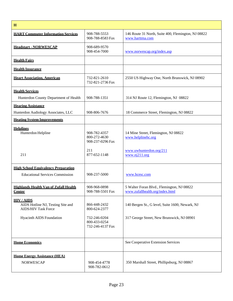<span id="page-24-12"></span><span id="page-24-11"></span><span id="page-24-10"></span><span id="page-24-9"></span><span id="page-24-8"></span><span id="page-24-7"></span><span id="page-24-6"></span><span id="page-24-5"></span><span id="page-24-4"></span><span id="page-24-3"></span><span id="page-24-2"></span><span id="page-24-1"></span><span id="page-24-0"></span>

| H                                                                                  |                                                         |                                                                                       |
|------------------------------------------------------------------------------------|---------------------------------------------------------|---------------------------------------------------------------------------------------|
| <b>HART Commuter Information Services</b>                                          | 908-788-5553<br>908-788-8583 Fax                        | 146 Route 31 North, Suite 400, Flemington, NJ 08822<br>www.harttma.com                |
| <b>Headstart - NORWESCAP</b>                                                       | 908-689-9570<br>908-454-7000                            | www.norwescap.org/index.asp                                                           |
| <b>Health Fairs</b>                                                                |                                                         |                                                                                       |
| <b>Health Insurance</b>                                                            |                                                         |                                                                                       |
| <b>Heart Association, American</b>                                                 | 732-821-2610<br>732-821-2736 Fax                        | 2550 US Highway One, North Brunswick, NJ 08902                                        |
| <b>Health Services</b><br>Hunterdon County Department of Health                    | 908-788-1351                                            | 314 NJ Route 12, Flemington, NJ 08822                                                 |
| <b>Hearing Assistance</b><br>Hunterdon Audiology Associates, LLC                   | 908-806-7676                                            | 18 Commerce Street, Flemington, NJ 08822                                              |
| <b>Heating System Improvements</b>                                                 |                                                         |                                                                                       |
| <b>Helplines</b><br>Hunterdon Helpline                                             | 908-782-4357<br>800-272-4630<br>908-237-0296 Fax<br>211 | 14 Mine Street, Flemington, NJ 08822<br>www.helplinehc.org<br>www.uwhunterdon.org/211 |
| 211                                                                                | 877-652-1148                                            | www.nj211.org                                                                         |
| <b>High School Equivalency Preparation</b>                                         |                                                         |                                                                                       |
| <b>Educational Services Commission</b>                                             | 908-237-5000                                            | www.hcesc.com                                                                         |
| <b>Highlands Health Van of Zufall Health</b><br><b>Center</b>                      | 908-968-0898<br>908-788-5501 Fax                        | 5 Walter Foran Blvd., Flemington, NJ 08822<br>www.zufallhealth.org/index.html         |
| <b>HIV/AIDS</b><br>AIDS Hotline NJ, Testing Site and<br><b>AIDS/HIV Task Force</b> | 866-448-2432<br>800-624-2377                            | 140 Bergen St., G level, Suite 1600, Newark, NJ                                       |
| Hyacinth AIDS Foundation                                                           | 732-246-0204<br>800-433-0254<br>732-246-4137 Fax        | 317 George Street, New Brunswick, NJ 08901                                            |
| <b>Home Economics</b>                                                              |                                                         | See Cooperative Extension Services                                                    |
| <b>Home Energy Assistance (HEA)</b><br><b>NORWESCAP</b>                            | 908-454-4778<br>908-782-0612                            | 350 Marshall Street, Phillipsburg, NJ 08867                                           |

 $\mathbf{r}$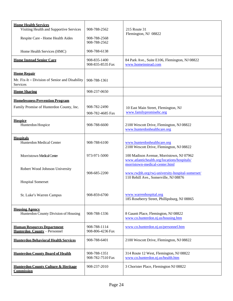<span id="page-25-11"></span><span id="page-25-10"></span><span id="page-25-9"></span><span id="page-25-8"></span><span id="page-25-7"></span><span id="page-25-6"></span><span id="page-25-5"></span><span id="page-25-4"></span><span id="page-25-3"></span><span id="page-25-2"></span><span id="page-25-1"></span><span id="page-25-0"></span>

| <b>Home Health Services</b><br>Visiting Health and Supportive Services<br>Respite Care - Home Health Aides<br>Home Health Services (HMC) | 908-788-2562<br>908-788-2568<br>908-788-2562<br>908-788-6138 | 215 Route 31<br>Flemington, NJ 08822                                                                                       |
|------------------------------------------------------------------------------------------------------------------------------------------|--------------------------------------------------------------|----------------------------------------------------------------------------------------------------------------------------|
| <b>Home Instead Senior Care</b>                                                                                                          | 908-835-1400<br>908-835-8535 Fax                             | 84 Park Ave., Suite E106, Flemington, NJ 08822<br>www.homeinstead.com                                                      |
| <b>Home Repair</b><br>Mr. Fix-It – Division of Senior and Disability                                                                     | 908-788-1361                                                 |                                                                                                                            |
| Services<br><b>Home Sharing</b>                                                                                                          | 908-237-0650                                                 |                                                                                                                            |
| <b>Homelessness Prevention Program</b><br>Family Promise of Hunterdon County, Inc.                                                       | 908-782-2490<br>908-782-4685 Fax                             | 10 East Main Street, Flemington, NJ<br>www.familypromisehc.org                                                             |
| <b>Hospice</b><br>Hunterdon Hospice                                                                                                      | 908-788-6600                                                 | 2100 Wescott Drive, Flemington, NJ 08822<br>www.hunterdonhealthcare.org                                                    |
| <b>Hospitals</b><br>Hunterdon Medical Center                                                                                             | 908-788-6100                                                 | www.hunterdonhealthcare.org<br>2100 Wescott Drive, Flemington, NJ 08822                                                    |
| Morristown Medical Center                                                                                                                | 973-971-5000                                                 | 100 Madison Avenue, Morristown, NJ 07962<br>www.atlantichealth.org/locations/hospitals/                                    |
| Robert Wood Johnson University<br><b>Hospital Somerset</b>                                                                               | 908-685-2200                                                 | morristown-medical-center.html<br>www.rwjbh.org/rwj-university-hospital-somerset/<br>110 Rehill Ave., Somerville, NJ 08876 |
| St. Luke's Warren Campus                                                                                                                 | 908-859-6700                                                 | www.warrenhospital.org<br>185 Roseberry Street, Phillipsburg, NJ 08865                                                     |
| <b>Housing Agency</b><br>Hunterdon County Division of Housing                                                                            | 908-788-1336                                                 | 8 Gauntt Place, Flemington, NJ 08822<br>www.co.hunterdon.nj.us/housing.htm                                                 |
| <b>Human Resources Department</b><br>Hunterdon County - Personnel                                                                        | 908-788-1114<br>908-806-4236 Fax                             | www.co.hunterdon.nj.us/personnel.htm                                                                                       |
| <b>Hunterdon Behavioral Health Services</b>                                                                                              | 908-788-6401                                                 | 2100 Wescott Drive, Flemington, NJ 08822                                                                                   |
| <b>Hunterdon County Board of Health</b>                                                                                                  | 908-788-1351<br>908-782-7510 Fax                             | 314 Route 12 West, Flemington, NJ 08822<br>www.co.hunterdon.nj.us/health.htm                                               |
| <b>Hunterdon County Culture &amp; Heritage</b><br><b>Commission</b>                                                                      | 908-237-2010                                                 | 3 Chorister Place, Flemington NJ 08822                                                                                     |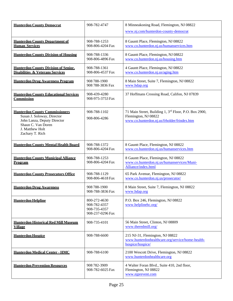<span id="page-26-15"></span><span id="page-26-14"></span><span id="page-26-13"></span><span id="page-26-12"></span><span id="page-26-11"></span><span id="page-26-10"></span><span id="page-26-9"></span><span id="page-26-8"></span><span id="page-26-7"></span><span id="page-26-6"></span><span id="page-26-5"></span><span id="page-26-4"></span><span id="page-26-3"></span><span id="page-26-2"></span><span id="page-26-1"></span><span id="page-26-0"></span>

| <b>Hunterdon County Democrat</b>                                                                                                                               | 908-782-4747                                                     | 8 Minneakoning Road, Flemington, NJ 08822<br>www.nj.com/hunterdon-county-democrat                                            |
|----------------------------------------------------------------------------------------------------------------------------------------------------------------|------------------------------------------------------------------|------------------------------------------------------------------------------------------------------------------------------|
| <b>Hunterdon County Department of</b><br><b>Human Services</b>                                                                                                 | 908-788-1253<br>908-806-4204 Fax                                 | 8 Gauntt Place, Flemington, NJ 08822<br>www.co.hunterdon.nj.us/humanservices.htm                                             |
| <b>Hunterdon County Division of Housing</b>                                                                                                                    | 908-788-1336<br>908-806-4896 Fax                                 | 8 Gauntt Place, Flemington, NJ 08822<br>www.co.hunterdon.nj.us/housing.htm                                                   |
| <b>Hunterdon County Division of Senior,</b><br><b>Disabilities &amp; Veterans Services</b>                                                                     | 908-788-1361<br>908-806-4537 Fax                                 | 4 Gauntt Place, Flemington, NJ 08822<br>www.co.hunterdon.nj.us/aging.htm                                                     |
| <b>Hunterdon Drug Awareness Program</b>                                                                                                                        | 908 788-1900<br>908 788-3836 Fax                                 | 8 Main Street, Suite 7, Flemington, NJ 08822<br>www.hdap.org                                                                 |
| <b>Hunterdon County Educational Services</b><br>Commission                                                                                                     | 908-439-4280<br>908-975-3753 Fax                                 | 37 Hoffmans Crossing Road, Califon, NJ 07839                                                                                 |
| <b>Hunterdon County Commissioners</b><br>Susan J. Soloway, Director<br>John Lanza, Deputy Director<br>Shaun C. Van Doren<br>J. Matthew Holt<br>Zachary T. Rich | 908-788-1102<br>908-806-4286                                     | 71 Main Street, Building 1, 3rd Floor, P.O. Box 2900,<br>Flemington, NJ 08822<br>www.co.hunterdon.nj.us/frholder/frindex.htm |
| <b>Hunterdon County Mental Health Board</b>                                                                                                                    | 908-788-1372<br>908-806-4204 Fax                                 | 8 Gauntt Place, Flemington, NJ 08822<br>www.co.hunterdon.nj.us/humanservices.htm                                             |
| <b>Hunterdon County Municipal Alliance</b><br><u>Program</u>                                                                                                   | 908-788-1253<br>908-806-4204 Fax                                 | 8 Gauntt Place, Flemington, NJ 08822<br>www.co.hunterdon.nj.us/humanservices/Muni-<br>Alliance/index.html                    |
| <b>Hunterdon County Prosecutors Office</b>                                                                                                                     | 908-788-1129<br>908-806-4618 Fax                                 | 65 Park Avenue, Flemington, NJ 08822<br>www.co.hunterdon.nj.us/prosecutor/                                                   |
| <b>Hunterdon Drug Awareness</b>                                                                                                                                | 908 788-1900<br>908-788-3836 Fax                                 | 8 Main Street, Suite 7, Flemington, NJ 08822<br><u>www.hdap.org</u>                                                          |
| <b>Hunterdon Helpline</b>                                                                                                                                      | 800-272-4630<br>908-782-4357<br>908-735-4357<br>908-237-0296 Fax | P.O. Box 246, Flemington, NJ 08822<br>www.helplinehc.org/                                                                    |
| <b>Hunterdon Historical Red Mill Museum</b><br><b>Village</b>                                                                                                  | 908-735-4101                                                     | 56 Main Street, Clinton, NJ 08809<br>www.theredmill.org/                                                                     |
| <b>Hunterdon Hospice</b>                                                                                                                                       | 908-788-6600                                                     | 215 NJ-31, Flemington, NJ 08822<br>www.hunterdonhealthcare.org/service/home-health-<br>hospice/hospice/                      |
| <b>Hunterdon Medical Center - HMC</b>                                                                                                                          | 908-788-6100                                                     | 2100 Wescott Drive, Flemington, NJ 08822<br>www.hunterdonhealthcare.org                                                      |
| <b>Hunterdon Prevention Resources</b>                                                                                                                          | 908 782-3909<br>908-782-6025 Fax                                 | 4 Walter Foran Blvd., Suite 410, 2nd floor,<br>Flemington, NJ 08822<br>www.njprevent.com                                     |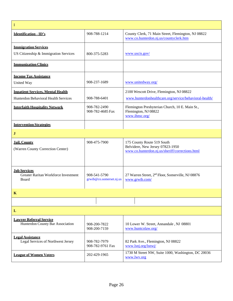<span id="page-27-10"></span><span id="page-27-9"></span><span id="page-27-8"></span><span id="page-27-7"></span><span id="page-27-6"></span><span id="page-27-5"></span><span id="page-27-4"></span><span id="page-27-3"></span><span id="page-27-2"></span><span id="page-27-1"></span><span id="page-27-0"></span>

| I                                                                                |                                         |                                                                                                                   |
|----------------------------------------------------------------------------------|-----------------------------------------|-------------------------------------------------------------------------------------------------------------------|
| <b>Identification - ID's</b>                                                     | 908-788-1214                            | County Clerk, 71 Main Street, Flemington, NJ 08822<br>www.co.hunterdon.nj.us/countyclerk.htm                      |
| <b>Immigration Services</b><br>US Citizenship & Immigration Services             | 800-375-5283                            | www.uscis.gov/                                                                                                    |
| <b>Immunization Clinics</b>                                                      |                                         |                                                                                                                   |
| <b>Income Tax Assistance</b><br>United Way                                       | 908-237-1689                            | www.unitedway.org/                                                                                                |
| <b>Inpatient Services, Mental Health</b><br>Hunterdon Behavioral Health Services | 908-788-6401                            | 2100 Wescott Drive, Flemington, NJ 08822<br>www.hunterdonhealthcare.org/service/behavioral-health/                |
| <b>Interfaith Hospitality Network</b>                                            | 908-782-2490<br>908-782-4685 Fax        | Flemington Presbyterian Church, 10 E. Main St.,<br>Flemington, NJ 08822<br>www.ihnsc.org/                         |
| <b>Intervention Strategies</b>                                                   |                                         |                                                                                                                   |
| $\bf J$                                                                          |                                         |                                                                                                                   |
| <b>Jail. County</b><br>(Warren County Correction Center)                         | 908-475-7900                            | 175 County Route 519 South<br>Belvidere, New Jersey 07823-1950<br>www.co.hunterdon.nj.us/sheriff/corrections.html |
| <b>Job Services</b><br>Greater Raritan Workforce Investment<br>Board             | 908-541-5790<br>grwib@co.somerset.nj.us | 27 Warren Street, 2 <sup>nd</sup> Floor, Somerville, NJ 08876<br>www.grwib.com/                                   |
| $\mathbf K$                                                                      |                                         |                                                                                                                   |
|                                                                                  |                                         |                                                                                                                   |
| $\mathbf{L}$                                                                     |                                         |                                                                                                                   |
| <b>Lawyer Referral Service</b><br>Hunterdon County Bar Association               | 908-200-7822<br>908-200-7159            | 10 Lower W. Street, Annandale, NJ 08801<br>www.huntcolaw.org/                                                     |
| <b>Legal Assistance</b><br>Legal Services of Northwest Jersey                    | 908-782-7979<br>908-782-9761 Fax        | 82 Park Ave., Flemington, NJ 08822<br>www.lsnj.org/lsnwj/                                                         |
| <b>League of Women Voters</b>                                                    | 202-429-1965                            | 1730 M Street NW, Suite 1000, Washington, DC 20036<br>www.lwv.org                                                 |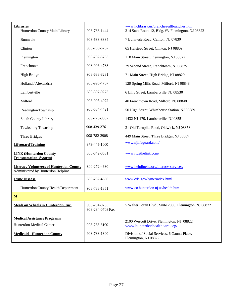<span id="page-28-7"></span><span id="page-28-6"></span><span id="page-28-5"></span><span id="page-28-4"></span><span id="page-28-3"></span><span id="page-28-2"></span><span id="page-28-1"></span><span id="page-28-0"></span>

| <b>Libraries</b><br>Hunterdon County Main Library                                    | 908-788-1444                     | www.hclibrary.us/branches/allbranches.htm<br>314 State Route 12, Bldg. #3, Flemington, NJ 08822 |
|--------------------------------------------------------------------------------------|----------------------------------|-------------------------------------------------------------------------------------------------|
| Bunnvale                                                                             | 908-638-8884                     | 7 Bunnvale Road, Califon, NJ 07830                                                              |
| Clinton                                                                              | 908-730-6262                     | 65 Halstead Street, Clinton, NJ 08809                                                           |
| Flemington                                                                           | 908-782-5733                     | 118 Main Street, Flemington, NJ 08822                                                           |
| Frenchtown                                                                           | 908-996-4788                     | 29 Second Street, Frenchtown, NJ 08825                                                          |
| High Bridge                                                                          | 908-638-8231                     | 71 Main Street, High Bridge, NJ 08829                                                           |
| Holland / Alexandria                                                                 | 908-995-4767                     | 129 Spring Mills Road, Milford, NJ 08848                                                        |
| Lambertville                                                                         | 609-397-0275                     | 6 Lilly Street, Lambertville, NJ 08530                                                          |
| Milford                                                                              | 908-995-4072                     | 40 Frenchtown Road, Milford, NJ 08848                                                           |
| Readington Township                                                                  | 908-534-4421                     | 50 High Street, Whitehouse Station, NJ 08889                                                    |
| South County Library                                                                 | 609-773-0032                     | 1432 NJ-179, Lambertville, NJ 08551                                                             |
| Tewksbury Township                                                                   | 908-439-3761                     | 31 Old Turnpike Road, Oldwick, NJ 08858                                                         |
| Three Bridges                                                                        | 908-782-2908                     | 449 Main Street, Three Bridges, NJ 08887                                                        |
| <b>Lifeguard Training</b>                                                            | 973-445-1000                     | www.njlifeguard.com/                                                                            |
| <b>LINK (Hunterdon County</b><br><b>Transportation System)</b>                       | 800-842-0531                     | www.ridethelink.com/                                                                            |
| <b>Literacy Volunteers of Hunterdon County</b><br>Administered by Hunterdon Helpline | 800-272-4630                     | www.helplinehc.org/literacy-services/                                                           |
| <b>Lyme Disease</b>                                                                  | 800-232-4636                     | www.cdc.gov/lyme/index.html                                                                     |
| Hunterdon County Health Department                                                   | 908-788-1351                     | www.co.hunterdon.nj.us/health.htm                                                               |
| M                                                                                    |                                  |                                                                                                 |
| <b>Meals on Wheels in Hunterdon. Inc.</b>                                            | 908-284-0735<br>908-284-0708 Fax | 5 Walter Foran Blvd., Suite 2006, Flemington, NJ 08822                                          |
| <b>Medical Assistance Programs</b><br>Hunterdon Medical Center                       | 908-788-6100                     | 2100 Wescott Drive, Flemington, NJ 08822<br>www.hunterdonhealthcare.org/                        |
| <b>Medicaid - Hunterdon County</b>                                                   | 908-788-1300                     | Division of Social Services, 6 Gauntt Place,<br>Flemington, NJ 08822                            |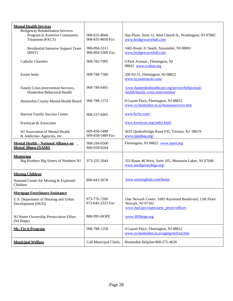<span id="page-29-7"></span><span id="page-29-6"></span><span id="page-29-5"></span><span id="page-29-4"></span><span id="page-29-3"></span><span id="page-29-2"></span><span id="page-29-1"></span><span id="page-29-0"></span>

| <b>Mental Health Services</b><br><b>Bridgeway Rehabilitation Services</b>   |                                  |                                                                                                                    |
|-----------------------------------------------------------------------------|----------------------------------|--------------------------------------------------------------------------------------------------------------------|
| Program in Assertive Community<br>Treatment (PACT)                          | 908-835-8660<br>908-835-8650 Fax | Star Plaza, Suite 12, West Church St., Washington, NJ 07882<br>www.bridgewayrehab.com                              |
| Residential Intensive Support Team<br>(RIST)                                | 908-894-5311<br>908-894-5309 Fax | 1465 Route 31 South, Annandale, NJ 08801<br>www.bridgewayrehab.com                                                 |
| <b>Catholic Charities</b>                                                   | 908-782-7905                     | 6 Park Avenue., Flemington, NJ<br>08822 www.ccdom.org                                                              |
| <b>Easter Seals</b>                                                         | 908-788-7580                     | 200 NJ-31, Flemington, NJ 08822<br>www.nj.easterseals.com/                                                         |
| Family Crisis Intervention Services,<br>Hunterdon Behavioral Health         | 908-788-6401                     | www.hunterdonhealthcare.org/service/behavioral-<br>health/family-crisis-intervention/                              |
| Hunterdon County Mental Health Board                                        | 908-788-1372                     | 8 Gauntt Place, Flemington, NJ 08822<br>www.co.hunterdon.nj.us/humanservices.htm                                   |
| <b>Harvest Family Success Center</b>                                        | 908-237-0465                     | www.hcfsc.com/                                                                                                     |
| Kwenyan & Associates                                                        |                                  | www.kwenyan.org/index.html                                                                                         |
| NJ Association of Mental Health<br>& Addiction Agencies, Inc.               | 609-838-5488<br>609-838-5489 Fax | 3635 Quakerbridge Road #35, Trenton, NJ 08619<br>www.njamhaa.org/                                                  |
| <b>Mental Health - National Alliance on</b><br><b>Mental Illness (NAMI)</b> | 908-284-0500<br>800-950-6264     | Flemington, NJ 08822 www.nami.org                                                                                  |
| <b>Mentoring</b><br>Big Brothers Big Sisters of Northern NJ                 | 973-335-3044                     | 333 Route 46 West, Suite 105, Mountain Lakes, NJ 07046<br>www.northjerseybigs.org/                                 |
| <b>Missing Children</b>                                                     |                                  |                                                                                                                    |
| National Center for Missing & Exploited<br>Children                         | 800-843-5678                     | www.missingkids.com/home                                                                                           |
| <b>Mortgage Foreclosure Assistance</b>                                      |                                  |                                                                                                                    |
| U.S. Department of Housing and Urban<br>Development (HUD)                   | 973-776-7200<br>973-645-2323 Fax | One Newark Center, 1085 Raymond Boulevard, 13th Floor<br>Newark, NJ 07102<br>www.hud.gov/states/new_jersey/offices |
| NJ Home Ownership Preservation Effort<br>(NJ Hope)                          | 888-995-HOPE                     | www.995hope.org                                                                                                    |
| <b>Mr. Fix-it Program</b>                                                   | 908-788-1358                     | 4 Gauntt Place, Flemington, NJ 08822<br>www.co.hunterdon.nj.us/aging/mrfixit.htm                                   |
| <b>Municipal Welfare</b>                                                    | <b>Call Municipal Clerks</b>     | Hunterdon Helpline 800-272-4630                                                                                    |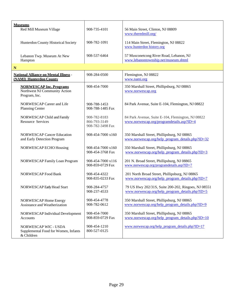<span id="page-30-2"></span><span id="page-30-1"></span><span id="page-30-0"></span>

| <b>Museums</b><br>Red Mill Museum Village                                        | 908-735-4101                                     | 56 Main Street, Clinton, NJ 08809<br>www.theredmill.org/                                               |
|----------------------------------------------------------------------------------|--------------------------------------------------|--------------------------------------------------------------------------------------------------------|
| Hunterdon County Historical Society                                              | 908-782-1091                                     | 114 Main Street, Flemington, NJ 08822<br>www.hunterdon history.org                                     |
| Lebanon Twp. Museum At New<br>Hampton                                            | 908-537-6464                                     | 57 Musconetcong River Road, Lebanon, NJ<br>www.lebanontownship.net/museum.shtml                        |
| ${\bf N}$                                                                        |                                                  |                                                                                                        |
| <b>National Alliance on Mental Illness -</b><br>(NAMI) Hunterdon County          | 908-284-0500                                     | Flemington, NJ 08822<br>www.nami.org                                                                   |
| <b>NORWESCAP Inc. Programs</b><br>Northwest NJ Community Action<br>Program, Inc. | 908-454-7000                                     | 350 Marshall Street, Phillipsburg, NJ 08865<br>www.norwescap.org                                       |
| NORWESCAP Career and Life<br>Planning Center                                     | 908-788-1453<br>908-788-1485 Fax                 | 84 Park Avenue, Suite E-104, Flemington, NJ 08822                                                      |
| NORWESCAP Child and Family<br><b>Resource Services</b>                           | 908-782-8183<br>866-793-3149<br>908-782-3498 Fax | 84 Park Avenue, Suite E-104, Flemington, NJ 08822<br>www.norwescap.org/programdetails.asp?ID=4         |
| <b>NORWESCAP Cancer Education</b><br>and Early Detection Program                 | 908-454-7000 x160                                | 350 Marshall Street, Phillipsburg, NJ 08865<br>www.norwescap.org/help_program_details.php?ID=32        |
| NORWESCAP ECHO Housing                                                           | 908-454-7000 x160<br>908-454-3768 Fax            | 350 Marshall Street, Phillipsburg, NJ 08865<br>www.norwescap.org/help_program_details.php?ID=3         |
| NORWESCAP Family Loan Program                                                    | 908-454-7000 x116<br>908-859-0729 Fax            | 201 N. Broad Street, Phillipsburg, NJ 08865<br>www.norwescap.org/programdetails.asp?ID=7               |
| <b>NORWESCAP Food Bank</b>                                                       | 908-454-4322<br>908-835-0233 Fax                 | 201 North Broad Street, Phillipsburg, NJ 08865<br>www.norwescap.org/help_program_details.php?ID=7      |
| NORWESCAP Early Head Start                                                       | 908-284-4757<br>908-237-4533                     | 79 US Hwy 202/31S, Suite 200-202, Ringoes, NJ 08551<br>www.norwescap.org/help_program_details.php?ID=5 |
| NORWESCAP Home Energy<br>Assistance and Weatherization                           | 908-454-4778<br>908-782-0612                     | 350 Marshall Street, Phillipsburg, NJ 08865<br>www.norwescap.org/help_program_details.php?ID=9         |
| NORWESCAP Individual Development<br>Accounts                                     | 908-454-7000<br>908-859-0729 Fax                 | 350 Marshall Street, Phillipsburg, NJ 08865<br>www.norwescap.org/help program details.php?ID=10        |
| NORWESCAP WIC - USDA<br>Supplemental Food for Women, Infants<br>& Children       | 908-454-1210<br>800-527-0125                     | www.norwescap.org/help_program_details.php?ID=17                                                       |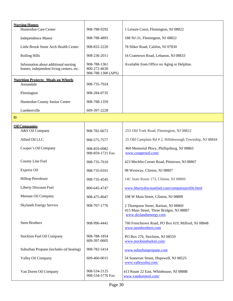<span id="page-31-2"></span><span id="page-31-1"></span><span id="page-31-0"></span>

| <b>Nursing Homes</b>                                                            |                                                    |                                                                                                            |
|---------------------------------------------------------------------------------|----------------------------------------------------|------------------------------------------------------------------------------------------------------------|
| Hunterdon Care Center                                                           | 908-788-9292                                       | 1 Leisure Court, Flemington, NJ 08822                                                                      |
| Independence Manor                                                              | 908-788-4893                                       | 188 NJ-31, Flemington, NJ 08822                                                                            |
| Little Brook Stone Arch Health Center                                           | 908-832-2220                                       | 78 Sliker Road, Califon, NJ 07830                                                                          |
| <b>Rolling Hills</b>                                                            | 908-236-2011                                       | 16 Cratetown Road, Lebanon, NJ 08833                                                                       |
| Information about additional nursing<br>homes, independent living centers, etc. | 908-788-1361<br>800-272-4630<br>908-788-1300 (APS) | Available from Office on Aging or Helpline.                                                                |
| <b>Nutrition Projects: Meals on Wheels</b><br>Annandale                         | 908-735-7024                                       |                                                                                                            |
| Flemington                                                                      | 908-284-0735                                       |                                                                                                            |
| Hunterdon County Senior Center                                                  | 908-788-1359                                       |                                                                                                            |
| Lambertville                                                                    | 609-397-2228                                       |                                                                                                            |
| $\mathbf 0$                                                                     |                                                    |                                                                                                            |
| <b>Oil Companies</b>                                                            |                                                    |                                                                                                            |
| A&S Oil Company                                                                 | 908-782-6673                                       | 255 Old York Road, Flemington, NJ 08822                                                                    |
| Allied Oil LLC                                                                  | 908-575-7577                                       | 25 Old Camplain Rd #2, Hillsborough Township, NJ 08844                                                     |
| Cooper's Oil Company                                                            | 908-859-0982<br>908-859-1721 Fax                   | 460 Memorial Pkwy, Phillipsburg, NJ 08865<br>www.coopersoil.com/                                           |
| County Line Fuel                                                                | 908-735-7610                                       | 423 Mechlin Corner Road, Pittstown, NJ 08867                                                               |
| Express Oil                                                                     | 908-735-0101                                       | 98 Westway, Clinton, NJ 08807                                                                              |
| Hilltop Petroleum                                                               | 908-735-4545                                       | 14C State Route 173, Clinton, NJ 08809                                                                     |
| Liberty Discount Fuel                                                           | 800-645-4747                                       | www.libertydiscountfuel.com/companyprofile.html                                                            |
| Meenan Oil Company                                                              | 908-475-8047                                       | 108 W Main Street, Clinton, NJ 08809                                                                       |
| <b>Skylands Energy Service</b>                                                  | 908-707-1776                                       | 2 Thompson Street, Raritan, NJ 08869<br>415 Main Street, Three Bridges, NJ 08887<br>www.skylandsenergy.com |
| <b>Stem Brothers</b>                                                            | 908-996-4441                                       | 760 Frenchtown Road, PO Box 619, Milford, NJ 08848<br>www.stembrothers.com                                 |
| Stockton Fuel Oil Company                                                       | 908-788-1854<br>609-397-0605                       | PO Box 276, Stockton, NJ 08559<br>www.stocktonfueloil.com/                                                 |
| Suburban Propane (includes oil heating)                                         | 908-782-5414                                       | www.suburbanpropane.com                                                                                    |
| Valley Oil Company                                                              | 609-466-0015                                       | 54 Somerset Street, Hopewell, NJ 08525<br>www.valleyoilnj.com/                                             |
| Van Doren Oil Company                                                           | 908-534-2125<br>908-534-5770 Fax                   | 413 Route 22 East, Whitehouse, NJ 08888<br>www.vandorenoil.com/                                            |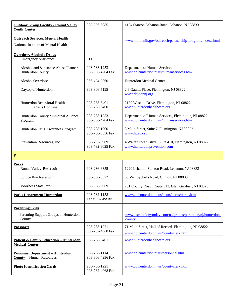<span id="page-32-9"></span><span id="page-32-8"></span><span id="page-32-7"></span><span id="page-32-6"></span><span id="page-32-5"></span><span id="page-32-4"></span><span id="page-32-3"></span><span id="page-32-2"></span><span id="page-32-1"></span><span id="page-32-0"></span>

| <b>Outdoor Group Facility - Round Valley</b><br><b>Youth Center</b>                                                                                                       | 908-236-6885                                                                                                                             | 1124 Stanton Lebanon Road, Lebanon, NJ 08833                                                                                                                                                                                                                                                                                                          |
|---------------------------------------------------------------------------------------------------------------------------------------------------------------------------|------------------------------------------------------------------------------------------------------------------------------------------|-------------------------------------------------------------------------------------------------------------------------------------------------------------------------------------------------------------------------------------------------------------------------------------------------------------------------------------------------------|
| <b>Outreach Services, Mental Health</b><br>National Institute of Mental Health                                                                                            |                                                                                                                                          | www.nimh.nih.gov/outreach/partnership-program/index.shtml                                                                                                                                                                                                                                                                                             |
| <b>Overdose, Alcohol / Drugs</b><br><b>Emergency Assistance</b><br>Alcohol and Substance Abuse Planner,<br>Hunterdon County<br>Alcohol Overdose<br>Daytop of Hunterdon    | 911<br>908-788-1253<br>908-806-4204 Fax<br>866-424-2060<br>908-806-5195                                                                  | Department of Human Services<br>www.co.hunterdon.nj.us/humanservices.htm<br>Hunterdon Medical Center<br>2 6 Gauntt Place, Flemington, NJ 08822                                                                                                                                                                                                        |
| Hunterdon Behavioral Health<br><b>Crisis Hot Line</b><br>Hunterdon County Municipal Alliance<br>Program<br>Hunterdon Drug Awareness Program<br>Prevention Resources, Inc. | 908-788-6401<br>908-788-6400<br>908-788-1253<br>908-806-4204 Fax<br>908-788-1900<br>908-788-3836 Fax<br>908-782-3909<br>908-782-6025 Fax | www.daytopnj.org<br>2100 Wescott Drive, Flemington, NJ 08822<br>www.hunterdonhealthcare.org<br>Department of Human Services, Flemington, NJ 08822<br>www.co.hunterdon.nj.us/humanservices.htm<br>8 Main Street, Suite 7, Flemington, NJ 08822<br>www.hdap.org<br>4 Walter Foran Blvd., Suite 410, Flemington, NJ 08822<br>www.hunterdonprevention.com |
| ${\bf P}$                                                                                                                                                                 |                                                                                                                                          |                                                                                                                                                                                                                                                                                                                                                       |
| <b>Parks</b><br><b>Round Valley Reservoir</b><br><b>Spruce Run Reservoir</b><br><b>Voorhees State Park</b>                                                                | 908-236-6355<br>908-638-8572<br>908-638-6969                                                                                             | 1220 Lebanon-Stanton Road, Lebanon, NJ 08833<br>68 Van Syckel's Road, Clinton, NJ 08809<br>251 County Road, Route 513, Glen Gardner, NJ 08826                                                                                                                                                                                                         |
| <b>Parks Department Hunterdon</b>                                                                                                                                         | 908-782-1158<br>Tape: 782-PARK                                                                                                           | www.co.hunterdon.nj.us/depts/parks/parks.htm                                                                                                                                                                                                                                                                                                          |
| <b>Parenting Skills</b><br>Parenting Support Groups in Hunterdon<br>County                                                                                                |                                                                                                                                          | www.psychologytoday.com/us/groups/parenting/nj/hunterdon-<br>county                                                                                                                                                                                                                                                                                   |
| <b>Passports</b><br><b>Patient &amp; Family Education - Hunterdon</b><br><b>Medical Center</b>                                                                            | 908-788-1221<br>908-782-4068 Fax<br>908-788-6401                                                                                         | 71 Main Street, Hall of Record, Flemington, NJ 08822<br>www.co.hunterdon.nj.us/countyclerk.htm<br>www.hunterdonhealthcare.org                                                                                                                                                                                                                         |
| <b>Personnel Department - Hunterdon</b><br><b>County</b> - Human Resources                                                                                                | 908-788-1114<br>908-806-4236 Fax                                                                                                         | www.co.hunterdon.nj.us/personnel.htm                                                                                                                                                                                                                                                                                                                  |
| <b>Photo Identification Cards</b>                                                                                                                                         | 908-788-1221<br>908-782-4068 Fax                                                                                                         | www.co.hunterdon.nj.us/countyclerk.htm                                                                                                                                                                                                                                                                                                                |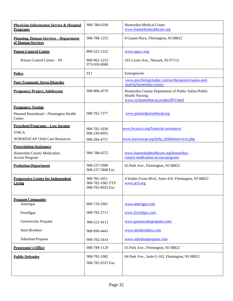<span id="page-33-13"></span><span id="page-33-12"></span><span id="page-33-11"></span><span id="page-33-10"></span><span id="page-33-9"></span><span id="page-33-8"></span><span id="page-33-7"></span><span id="page-33-6"></span><span id="page-33-5"></span><span id="page-33-4"></span><span id="page-33-3"></span><span id="page-33-2"></span><span id="page-33-1"></span><span id="page-33-0"></span>

| <b>Physician Information Service &amp; Hospital</b><br><b>Programs</b> | 908-788-6100                                         | Hunterdon Medical Center<br>www.hunterdonhealthcare.org                                                             |
|------------------------------------------------------------------------|------------------------------------------------------|---------------------------------------------------------------------------------------------------------------------|
| <b>Planning, Human Services - Department</b><br>of Human Services      | 908-788-1253                                         | 8 Gauntt Place, Flemington, NJ 08822                                                                                |
| <b>Poison Control Center</b>                                           | 800-222-1222                                         | www.aapcc.org/                                                                                                      |
| Poison Control Center - NJ                                             | 800-962-1253<br>973-926-8008                         | 165 Lyons Ave., Newark, NJ 07112                                                                                    |
| <b>Police</b>                                                          | 911                                                  | Emergencies                                                                                                         |
| <b>Post-Traumatic Stress Disorder</b>                                  |                                                      | www.psychologytoday.com/us/therapists/trauma-and-<br>ptsd/nj/hunterdon-county                                       |
| <b>Pregnancy Project, Adolescent</b>                                   | 908-806-4570                                         | Hunterdon County Department of Public Safety/Public<br><b>Health Nursing</b><br>www.co.hunterdon.nj.us/phn/IPO.html |
| <b>Pregnancy Testing</b>                                               |                                                      |                                                                                                                     |
| Planned Parenthood - Flemington Health<br>Center                       | 908-782-7277                                         | www.plannedparenthood.org                                                                                           |
| <b>Preschool Programs-Low Income</b>                                   | 908-782-1030                                         | www.hcymca.org/financial-assistance/                                                                                |
| <b>YMCA</b>                                                            | 908-236-0055                                         |                                                                                                                     |
| <b>NORWESCAP Child Care Resources</b>                                  | 908-284-4757                                         | www.norwescap.org/help childrenservices.php                                                                         |
| <b>Prescription Assistance</b>                                         |                                                      |                                                                                                                     |
| Hunterdon County Medication<br><b>Access Program</b>                   | 908-788-6572                                         | www.hunterdonhealthcare.org/hunterdon-<br>county-medication-access-program/                                         |
| <b>Probation Department</b>                                            | 908-237-5900<br>908-237-5868 Fax                     | 65 Park Ave., Flemington, NJ 08822                                                                                  |
| <b>Progressive Center for Independent</b><br>Living                    | 908 782-1055<br>908-782-1081 TTY<br>908-782-6025 Fax | 4 Walter Foran Blvd., Suite 410, Flemington, NJ 08822<br>www.pcil.org                                               |
| <b>Propane Companies</b><br>Amerigas                                   | 800-729-2961                                         | www.amerigas.com                                                                                                    |
| Ferrellgas                                                             | 908-782-2711                                         | www.ferrellgas.com                                                                                                  |
| Greenworks Propane                                                     |                                                      | www.greenworkspropane.com/                                                                                          |
|                                                                        | 908-521-4111                                         |                                                                                                                     |
| <b>Stem Brothers</b>                                                   | 908-996-4441                                         | www.stembrothers.com                                                                                                |
| Suburban Propane                                                       | 908-782-5414                                         | www.suburbanpropane.com                                                                                             |
| <b>Prosecutor's Office</b>                                             | 908-788-1129                                         | 65 Park Ave., Flemington, NJ 08822                                                                                  |
| <b>Public Defender</b>                                                 | 908-782-1082<br>908-782-9337 Fax                     | 84 Park Ave., Suite G-102, Flemington, NJ 08822                                                                     |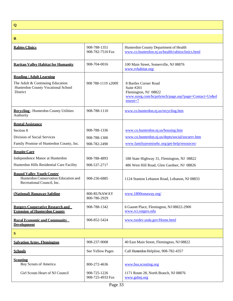**Q**

<span id="page-34-12"></span><span id="page-34-11"></span><span id="page-34-10"></span><span id="page-34-9"></span><span id="page-34-8"></span><span id="page-34-7"></span><span id="page-34-6"></span><span id="page-34-5"></span><span id="page-34-4"></span><span id="page-34-3"></span><span id="page-34-2"></span><span id="page-34-1"></span><span id="page-34-0"></span>

| $\mathbf R$                                                                                            |                                  |                                                                                                                                |
|--------------------------------------------------------------------------------------------------------|----------------------------------|--------------------------------------------------------------------------------------------------------------------------------|
| <b>Rabies Clinics</b>                                                                                  | 908-788-1351<br>908-782-7510 Fax | Hunterdon County Department of Health<br>www.co.hunterdon.nj.us/health/rabiesclinics.html                                      |
| <b>Raritan Valley Habitat for Humanity</b>                                                             | 908-704-0016                     | 100 Main Street, Somerville, NJ 08876<br>www.rvhabitat.org/                                                                    |
| <b>Reading / Adult Learning</b>                                                                        |                                  |                                                                                                                                |
| The Adult & Continuing Education<br>Hunterdon County Vocational School<br>District                     | 908 788-1119 x2009               | 8 Bartles Corner Road<br>Suite #201<br>Flemington, NJ 08822<br>www.ssreg.com/hcpolytech/page.asp?page=Contact+Us⪙<br>$ement=7$ |
| <b>Recycling - Hunterdon County Utilities</b><br>Authority                                             | 908-788-1110                     | www.co.hunterdon.nj.us/recycling.htm                                                                                           |
| <b>Rental Assistance</b>                                                                               |                                  |                                                                                                                                |
| Section 8                                                                                              | 908-788-1336                     | www.co.hunterdon.nj.us/housing.htm                                                                                             |
| Division of Social Services                                                                            | 908-788-1300                     | www.co.hunterdon.nj.us/depts/social/socserv.htm                                                                                |
| Family Promise of Hunterdon County, Inc.                                                               | 908-782-2490                     | www.familypromisehc.org/get-help/resources/                                                                                    |
| <b>Respite Care</b>                                                                                    |                                  |                                                                                                                                |
| Independence Manor at Hunterdon                                                                        | 908-788-4893                     | 188 State Highway 31, Flemington, NJ 08822                                                                                     |
| Hunterdon Hills Residential Care Facility                                                              | 908-537-2717                     | 486 West Hill Road, Glen Gardner, NJ 08826                                                                                     |
| <b>Round Valley Youth Center</b><br>Hunterdon Conservation Education and<br>Recreational Council, Inc. | 908-236-6885                     | 1124 Stanton Lebanon Road, Lebanon, NJ 08833                                                                                   |
| (National) Runaway Safeline                                                                            | 800-RUNAWAY<br>800-786-2929      | www.1800runaway.org/                                                                                                           |
| <b>Rutgers Cooperative Research and</b><br><b>Extension of Hunterdon County</b>                        | 908-788-1342                     | 6 Gauntt Place, Flemington, NJ 08822-2900<br>www.rci.rutgers.edu                                                               |
| <b>Rural Economic and Community</b><br><b>Development</b>                                              | 908-852-5424                     | www.rurdev.usda.gov/Home.html                                                                                                  |
| S                                                                                                      |                                  |                                                                                                                                |
| <b>Salvation Army, Flemington</b>                                                                      | 908-237-9008                     | 40 East Main Street, Flemington, NJ 08822                                                                                      |
| <b>Schools</b>                                                                                         | See Yellow Pages                 | Call Hunterdon Helpline, 908-782-4357                                                                                          |
| <b>Scouting</b><br>Boy Scouts of America                                                               | 800-272-4636                     | www.bsa.scouting.org                                                                                                           |
| Girl Scouts Heart of NJ Council                                                                        | 908-725-1226<br>908-725-4933 Fax | 1171 Route 28, North Branch, NJ 08876<br>www.gshnj.org                                                                         |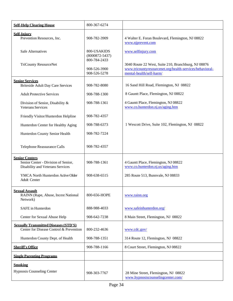<span id="page-35-8"></span><span id="page-35-7"></span><span id="page-35-6"></span><span id="page-35-5"></span><span id="page-35-4"></span><span id="page-35-3"></span><span id="page-35-2"></span><span id="page-35-1"></span><span id="page-35-0"></span>

| <b>Self-Help Clearing House</b>                                                                  | 800-367-6274                                 |                                                                                                                                             |
|--------------------------------------------------------------------------------------------------|----------------------------------------------|---------------------------------------------------------------------------------------------------------------------------------------------|
| <b>Self-Injury</b><br>Prevention Resources, Inc.                                                 | 908-782-3909                                 | 4 Walter E. Foran Boulevard, Flemington, NJ 08822<br>www.njprevent.com                                                                      |
| <b>Safe Alternatives</b>                                                                         | 800-USAKIDS<br>$(8000872 - 5437)$            | www.selfinjury.com                                                                                                                          |
| <b>TriCounty ResourceNet</b>                                                                     | 800-784-2433<br>908-526-3900<br>908-526-5278 | 3040 Route 22 West, Suite 210, Branchburg, NJ 08876<br>www.tricountyresourcenet.org/health-services/behavioral-<br>mental-health/self-harm/ |
| <b>Senior Services</b><br><b>Briteside Adult Day Care Services</b>                               | 908-782-8080                                 | 16 Sand Hill Road, Flemington, NJ 08822                                                                                                     |
| <b>Adult Protective Services</b>                                                                 | 908-788-1300                                 | 8 Gauntt Place, Flemington, NJ 08822                                                                                                        |
| Division of Senior, Disability &<br><b>Veterans Services</b>                                     | 908-788-1361                                 | 4 Gauntt Place, Flemington, NJ 08822<br>www.co.hunterdon.nj.us/aging.htm                                                                    |
| Friendly Visitor/Hunterdon Helpline                                                              | 908-782-4357                                 |                                                                                                                                             |
| Hunterdon Center for Healthy Aging                                                               | 908-788-6373                                 | 1 Wescott Drive, Suite 102, Flemington, NJ 08822                                                                                            |
| Hunterdon County Senior Health                                                                   | 908-782-7224                                 |                                                                                                                                             |
| Telephone Reassurance Calls                                                                      | 908-782-4357                                 |                                                                                                                                             |
| <b>Senior Centers</b><br>Senior Center - Division of Senior,<br>Disability and Veterans Services | 908-788-1361                                 | 4 Gauntt Place, Flemington, NJ 08822<br>www.co.hunterdon.nj.us/aging.htm                                                                    |
| YMCA North Hunterdon Active Older<br>Adult Center                                                | 908-638-6515                                 | 285 Route 513, Bunnvale, NJ 08833                                                                                                           |
| <b>Sexual Assault</b><br>RAINN (Rape, Abuse, Incest National<br>Network)                         | 800-656-HOPE                                 | www.rainn.org                                                                                                                               |
| SAFE in Hunterdon                                                                                | 888-988-4033                                 | www.safeinhunterdon.org/                                                                                                                    |
| Center for Sexual Abuse Help                                                                     | 908-642-7238                                 | 8 Main Street, Flemington, NJ 08822                                                                                                         |
| <b>Sexually Transmitted Diseases (STD'S)</b><br>Center for Disease Control & Prevention          | 800-232-4636                                 | www.cdc.gov/                                                                                                                                |
| Hunterdon County Dept. of Health                                                                 | 908-788-1351                                 | 314 Route 12, Flemington, NJ 08822                                                                                                          |
| <b>Sheriff's Office</b>                                                                          | 908-788-1166                                 | 8 Court Street, Flemington, NJ 08822                                                                                                        |
| <b>Single Parenting Programs</b>                                                                 |                                              |                                                                                                                                             |
| <b>Smoking</b><br><b>Hypnosis Counseling Center</b>                                              | 908-303-7767                                 | 28 Mine Street, Flemington, NJ 08822<br>www.hypnosiscounselingcenter.com/                                                                   |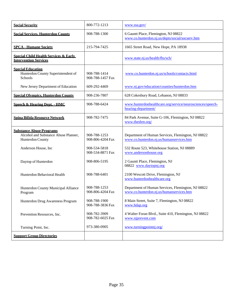<span id="page-36-8"></span><span id="page-36-7"></span><span id="page-36-6"></span><span id="page-36-5"></span><span id="page-36-4"></span><span id="page-36-3"></span><span id="page-36-2"></span><span id="page-36-1"></span><span id="page-36-0"></span>

| <b>Social Security</b>                                                                                                                                                                                                                                         | 800-772-1213                                                                                                                                                                 | www.ssa.gov/                                                                                                                                                                                                                                                                                                                                                                                                                                                              |
|----------------------------------------------------------------------------------------------------------------------------------------------------------------------------------------------------------------------------------------------------------------|------------------------------------------------------------------------------------------------------------------------------------------------------------------------------|---------------------------------------------------------------------------------------------------------------------------------------------------------------------------------------------------------------------------------------------------------------------------------------------------------------------------------------------------------------------------------------------------------------------------------------------------------------------------|
| <b>Social Services, Hunterdon County</b>                                                                                                                                                                                                                       | 908-788-1300                                                                                                                                                                 | 6 Gauntt Place, Flemington, NJ 08822<br>www.co.hunterdon.nj.us/depts/social/socserv.htm                                                                                                                                                                                                                                                                                                                                                                                   |
| <b>SPCA - Humane Society</b>                                                                                                                                                                                                                                   | 215-794-7425                                                                                                                                                                 | 1665 Street Road, New Hope, PA 18938                                                                                                                                                                                                                                                                                                                                                                                                                                      |
| <b>Special Child Health Services &amp; Early</b><br><b>Intervention Services</b>                                                                                                                                                                               |                                                                                                                                                                              | www.state.nj.us/health/fhs/sch/                                                                                                                                                                                                                                                                                                                                                                                                                                           |
| <b>Special Education</b><br>Hunterdon County Superintendent of<br>Schools                                                                                                                                                                                      | 908-788-1414<br>908-788-1457 Fax                                                                                                                                             | www.co.hunterdon.nj.us/schools/contacts.html                                                                                                                                                                                                                                                                                                                                                                                                                              |
| New Jersey Department of Education                                                                                                                                                                                                                             | 609-292-4469                                                                                                                                                                 | www.nj.gov/education/counties/hunterdon.htm                                                                                                                                                                                                                                                                                                                                                                                                                               |
| <b>Special Olympics, Hunterdon County</b>                                                                                                                                                                                                                      | 908-236-7807                                                                                                                                                                 | 628 Cokesbury Road, Lebanon, NJ 08833                                                                                                                                                                                                                                                                                                                                                                                                                                     |
| <b>Speech &amp; Hearing Dept. - HMC</b>                                                                                                                                                                                                                        | 908-788-6424                                                                                                                                                                 | www.hunterdonhealthcare.org/service/neurosciences/speech-<br>hearing-department/                                                                                                                                                                                                                                                                                                                                                                                          |
| <b>Spina Bifida Resource Network</b>                                                                                                                                                                                                                           | 908-782-7475                                                                                                                                                                 | 84 Park Avenue, Suite G-106, Flemington, NJ 08822<br>www.thesbrn.org/                                                                                                                                                                                                                                                                                                                                                                                                     |
| <b>Substance Abuse Programs</b><br>Alcohol and Substance Abuse Planner,<br>Hunterdon County<br>Anderson House, Inc<br>Daytop of Hunterdon<br>Hunterdon Behavioral Health<br>Hunterdon County Municipal Alliance<br>Program<br>Hunterdon Drug Awareness Program | 908-788-1253<br>908-806-4204 Fax<br>908-534-5818<br>908-534-8871 Fax<br>908-806-5195<br>908-788-6401<br>908-788-1253<br>908-806-4204 Fax<br>908-788-1900<br>908-788-3836 Fax | Department of Human Services, Flemington, NJ 08822<br>www.co.hunterdon.nj.us/humanservices.htm<br>532 Route 523, Whitehouse Station, NJ 08889<br>www.andersonhouse.org<br>2 Gauntt Place, Flemington, NJ<br>08822 www.daytopnj.org<br>2100 Wescott Drive, Flemington, NJ<br>www.hunterdonhealthcare.org<br>Department of Human Services, Flemington, NJ 08822<br>www.co.hunterdon.nj.us/humanservices.htm<br>8 Main Street, Suite 7, Flemington, NJ 08822<br>www.hdap.org |
| Prevention Resources, Inc.                                                                                                                                                                                                                                     | 908-782-3909<br>908-782-6025 Fax                                                                                                                                             | 4 Walter Foran Blvd., Suite 410, Flemington, NJ 08822<br>www.njprevent.com                                                                                                                                                                                                                                                                                                                                                                                                |
| Turning Point, Inc.                                                                                                                                                                                                                                            | 973-380-0905                                                                                                                                                                 | www.turningpointnj.org/                                                                                                                                                                                                                                                                                                                                                                                                                                                   |
| <b>Support Group Directories</b>                                                                                                                                                                                                                               |                                                                                                                                                                              |                                                                                                                                                                                                                                                                                                                                                                                                                                                                           |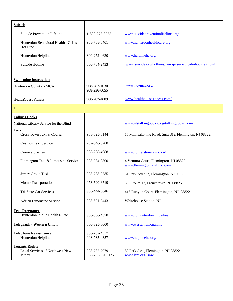<span id="page-37-7"></span><span id="page-37-6"></span><span id="page-37-5"></span><span id="page-37-4"></span><span id="page-37-3"></span><span id="page-37-2"></span><span id="page-37-1"></span><span id="page-37-0"></span>

| <b>Suicide</b>                                                     |                                   |                                                                     |
|--------------------------------------------------------------------|-----------------------------------|---------------------------------------------------------------------|
| Suicide Prevention Lifeline                                        | 1-800-273-8255                    | www.suicidepreventionlifeline.org/                                  |
| Hunterdon Behavioral Health - Crisis<br>Hot Line                   | 908-788-6401                      | www.hunterdonhealthcare.org                                         |
| Hunterdon Helpline                                                 | 800-272-4630                      | www.helplinehc.org/                                                 |
| Suicide Hotline                                                    | 800-784-2433                      | www.suicide.org/hotlines/new-jersey-suicide-hotlines.html           |
| <b>Swimming Instruction</b>                                        |                                   |                                                                     |
| Hunterdon County YMCA                                              | 908-782-1030<br>908-236-0055      | www.hcymca.org/                                                     |
| <b>HealthQuest Fitness</b>                                         | 908-782-4009                      | www.healthquest-fitness.com/                                        |
| T                                                                  |                                   |                                                                     |
| <b>Talking Books</b>                                               |                                   |                                                                     |
| National Library Service for the Blind                             |                                   | www.nlstalkingbooks.org/talkingbooksform/                           |
| <b>Taxi</b><br>Cross Town Taxi & Courier                           | 908-625-6144                      | 15 Minneakoning Road, Suite 312, Flemington, NJ 08822               |
| Cosmos Taxi Service                                                | 732-646-6208                      |                                                                     |
| Cornerstone Taxi                                                   | 908-268-4088                      | www.cornerstonetaxi.com/                                            |
| Flemington Taxi & Limousine Service                                | 908-284-0800                      | 4 Ventura Court, Flemington, NJ 08822<br>www.flemingtontaxilimo.com |
| Jersey Group Taxi                                                  | 908-788-9585                      | 81 Park Avenue, Flemington, NJ 08822                                |
| Momo Transportation                                                | 973-590-6719                      | 838 Route 12, Frenchtown, NJ 08825                                  |
| Tri-State Car Services                                             | 908-444-5646                      | 416 Runyon Court, Flemington, NJ 08822                              |
| <b>Adrien Limousine Service</b>                                    | 908-691-2443                      | Whitehouse Station, NJ                                              |
| <b>Teen Pregnancy</b><br>Hunterdon Public Health Nurse             | 908-806-4570                      | www.co.hunterdon.nj.us/health.html                                  |
| <b>Telegraph - Western Union</b>                                   | 800-325-6000                      | www.westernunion.com/                                               |
| <b>Telephone Reassurance</b><br>Hunterdon Helpline                 | 908-782-4357<br>908-735-4357      | www.helplinehc.org/                                                 |
| <b>Tenants Rights</b><br>Legal Services of Northwest New<br>Jersey | 908-782-7979<br>908-782-9761 Fax: | 82 Park Ave., Flemington, NJ 08822<br>www.lsnj.org/lsnwj/           |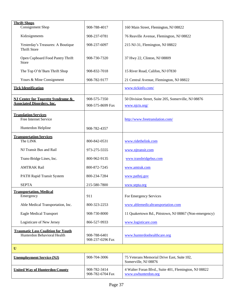<span id="page-38-8"></span><span id="page-38-7"></span><span id="page-38-6"></span><span id="page-38-5"></span><span id="page-38-4"></span><span id="page-38-3"></span><span id="page-38-2"></span><span id="page-38-1"></span><span id="page-38-0"></span>

| <b>Thrift Shops</b>                                                               |                                  |                                                                              |
|-----------------------------------------------------------------------------------|----------------------------------|------------------------------------------------------------------------------|
| Consignment Shop                                                                  | 908-788-4017                     | 160 Main Street, Flemington, NJ 08822                                        |
| Kidzsignments                                                                     | 908-237-0781                     | 76 Reaville Avenue, Flemington, NJ 08822                                     |
| Yesterday's Treasures: A Boutique<br><b>Thrift Store</b>                          | 908-237-6097                     | 215 NJ-31, Flemington, NJ 08822                                              |
| Open Cupboard Food Pantry Thrift<br>Store                                         | 908-730-7320                     | 37 Hwy 22, Clinton, NJ 08809                                                 |
| The Top O'th'Barn Thrift Shop                                                     | 908-832-7018                     | 15 River Road, Califon, NJ 07830                                             |
| Yours & Mine Consignment                                                          | 908-782-9177                     | 21 Central Avenue, Flemington, NJ 08822                                      |
| <b>Tick Identification</b>                                                        |                                  | www.tickinfo.com/                                                            |
| <b>NJ Center for Tourette Syndrome &amp;</b><br><b>Associated Disorders, Inc.</b> | 908-575-7350<br>908-575-8699 Fax | 50 Division Street, Suite 205, Somerville, NJ 08876<br>www.njcts.org/        |
| <b>Translation Services</b><br>Free Internet Service                              |                                  | http://www.freetranslation.com/                                              |
| Hunterdon Helpline                                                                | 908-782-4357                     |                                                                              |
| <b>Transportation Services</b><br>The LINK                                        | 800-842-0531                     | www.ridethelink.com                                                          |
| NJ Transit Bus and Rail                                                           | 973-275-5555                     | www.njtransit.com                                                            |
| Trans-Bridge Lines, Inc.                                                          | 800-962-9135                     | www.transbridgebus.com                                                       |
| <b>AMTRAK Rail</b>                                                                | 800-872-7245                     | www.amtrak.com                                                               |
| PATH Rapid Transit System                                                         | 800-234-7284                     | www.pathnj.gov                                                               |
| <b>SEPTA</b>                                                                      | 215-580-7800                     | www.septa.org                                                                |
| <b>Transportation, Medical</b><br>Emergency                                       | 911                              | For Emergency Services                                                       |
| Able Medical Transportation, Inc.                                                 | 800-323-2253                     | www.ablemedicaltransportation.com                                            |
| <b>Eagle Medical Transport</b>                                                    | 908-730-8000                     | 11 Quakertown Rd., Pittstown, NJ 08867 (Non-emergency)                       |
| Logisticare of New Jersey                                                         | 866-527-9933                     | www.logisticare.com                                                          |
| <b>Traumatic Loss Coalition for Youth</b><br>Hunterdon Behavioral Health          | 908-788-6401<br>908-237-0296 Fax | www.hunterdonhealthcare.org                                                  |
| U                                                                                 |                                  |                                                                              |
| <b>Unemployment Service (NJ)</b>                                                  | 908-704-3006                     | 75 Veterans Memorial Drive East, Suite 102,<br>Somerville, NJ 08876          |
| <b>United Way of Hunterdon County</b>                                             | 908-782-3414<br>908-782-6704 Fax | 4 Walter Foran Blvd., Suite 401, Flemington, NJ 08822<br>www.uwhunterdon.org |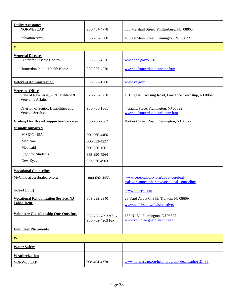<span id="page-39-11"></span><span id="page-39-10"></span><span id="page-39-9"></span><span id="page-39-8"></span><span id="page-39-7"></span><span id="page-39-6"></span><span id="page-39-5"></span><span id="page-39-4"></span><span id="page-39-3"></span><span id="page-39-2"></span><span id="page-39-1"></span><span id="page-39-0"></span>

| <b>Utility Assistance</b><br><b>NORWESCAP</b>                                      | 908-454-4778                          | 350 Marshall Street, Phillipsburg, NJ 08865                      |
|------------------------------------------------------------------------------------|---------------------------------------|------------------------------------------------------------------|
| <b>Salvation Army</b>                                                              | 908-237-9008                          | 40 East Main Street, Flemington, NJ 08822                        |
| $\mathbf{V}$                                                                       |                                       |                                                                  |
|                                                                                    |                                       |                                                                  |
| <b>Venereal Diseases</b>                                                           |                                       |                                                                  |
| <b>Center for Disease Control</b>                                                  | 800-232-4636                          | www.cdc.gov/STD/                                                 |
| Hunterdon Public Health Nurse                                                      | 908-806-4570                          | www.co.hunterdon.nj.us/phn.htm                                   |
|                                                                                    |                                       |                                                                  |
| <b>Veterans Administration</b>                                                     | 800-827-1000                          | www.va.gov/                                                      |
|                                                                                    |                                       |                                                                  |
| <b>Veterans Office</b><br>State of New Jersey - NJ Military &<br>Veteran's Affairs | 973-297-3230                          | 101 Eggert Crossing Road, Lawrence Township, NJ 08648            |
| Division of Senior, Disabilities and                                               | 908-788-1361                          | 4 Gauntt Place, Flemington, NJ 08822                             |
| Veteran Services                                                                   |                                       | www.co.hunterdon.nj.us/aging.htm                                 |
| <b>Visiting Health and Supportive Services</b>                                     | 908-788-2562                          | Bartles Corner Road, Flemington, NJ 08822                        |
| <b>Visually Impaired</b>                                                           |                                       |                                                                  |
| <b>VISION USA</b>                                                                  | 800-766-4466                          |                                                                  |
| Medicare                                                                           | 800-633-4227                          |                                                                  |
| Medicaid                                                                           | 800-356-1561                          |                                                                  |
| <b>Sight for Students</b>                                                          | 888-290-4964                          |                                                                  |
| New Eyes                                                                           | 973-376-4903                          |                                                                  |
|                                                                                    |                                       |                                                                  |
| <b>Vocational Counseling</b>                                                       |                                       |                                                                  |
| MyChild at cerebralpalsy.org                                                       | 800-692-4453                          | www.cerebralpalsy.org/about-cerebral-                            |
|                                                                                    |                                       | palsy/treatment/therapy/vocational-counseling                    |
| Indeed (Jobs)                                                                      |                                       | www.indeed.com                                                   |
| <b>Vocational Rehabilitation Service, NJ</b>                                       | 609-292-2940                          | 28 Yard Ave # Cn959, Trenton, NJ 08609                           |
| <b>Labor Dept.</b>                                                                 |                                       | www.ncdhhs.gov/divisions/dvrs                                    |
|                                                                                    |                                       |                                                                  |
| <b>Volunteer Guardianship One-One, Inc.</b>                                        | 908-788-4893 x716<br>908-782-4203 Fax | 188 NJ-31, Flemington, NJ 08822<br>www.volunteerguardianship.org |
| <b>Volunteer Placements</b>                                                        |                                       |                                                                  |
|                                                                                    |                                       |                                                                  |
| W                                                                                  |                                       |                                                                  |
| <b>Water Safety</b>                                                                |                                       |                                                                  |
| Weatherization                                                                     |                                       |                                                                  |
| <b>NORWESCAP</b>                                                                   | 908-454-4778                          | $www.norwescap.org/help program details.php?ID=33$               |
|                                                                                    |                                       |                                                                  |